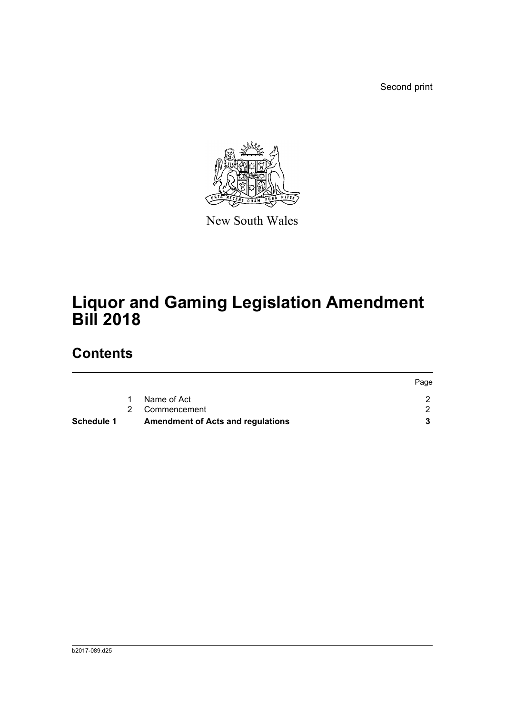Second print



New South Wales

# **Liquor and Gaming Legislation Amendment Bill 2018**

# **Contents**

| <b>Schedule 1</b> | <b>Amendment of Acts and regulations</b> |      |
|-------------------|------------------------------------------|------|
|                   | 2 Commencement                           |      |
|                   | Name of Act                              |      |
|                   |                                          | Page |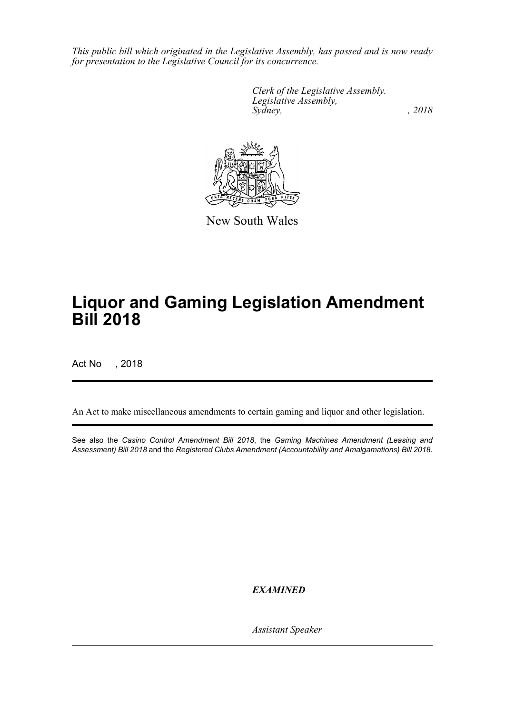*This public bill which originated in the Legislative Assembly, has passed and is now ready for presentation to the Legislative Council for its concurrence.*

> *Clerk of the Legislative Assembly. Legislative Assembly, Sydney, , 2018*



New South Wales

# **Liquor and Gaming Legislation Amendment Bill 2018**

Act No , 2018

An Act to make miscellaneous amendments to certain gaming and liquor and other legislation.

See also the *Casino Control Amendment Bill 2018*, the *Gaming Machines Amendment (Leasing and Assessment) Bill 2018* and the *Registered Clubs Amendment (Accountability and Amalgamations) Bill 2018*.

*EXAMINED*

*Assistant Speaker*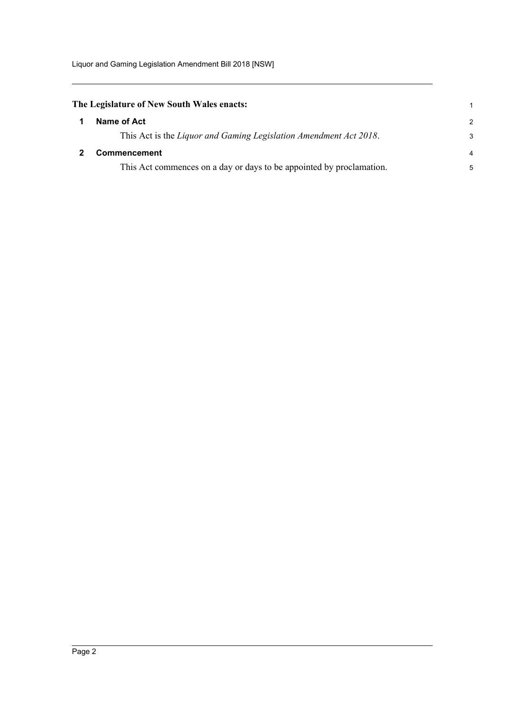Liquor and Gaming Legislation Amendment Bill 2018 [NSW]

<span id="page-2-1"></span><span id="page-2-0"></span>

| The Legislature of New South Wales enacts:                           | 1             |
|----------------------------------------------------------------------|---------------|
| Name of Act                                                          | $\mathcal{P}$ |
| This Act is the Liquor and Gaming Legislation Amendment Act 2018.    | 3             |
| <b>Commencement</b>                                                  | 4             |
| This Act commences on a day or days to be appointed by proclamation. | 5             |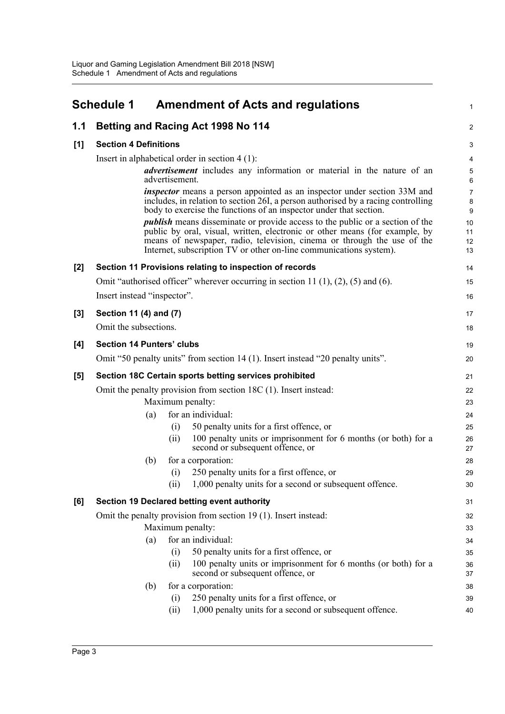<span id="page-3-0"></span>

|       | <b>Schedule 1</b>                |                  | <b>Amendment of Acts and regulations</b>                                                                                                                                                                                                                                                                             | $\mathbf{1}$              |
|-------|----------------------------------|------------------|----------------------------------------------------------------------------------------------------------------------------------------------------------------------------------------------------------------------------------------------------------------------------------------------------------------------|---------------------------|
| 1.1   |                                  |                  | Betting and Racing Act 1998 No 114                                                                                                                                                                                                                                                                                   | $\boldsymbol{2}$          |
| [1]   | <b>Section 4 Definitions</b>     |                  |                                                                                                                                                                                                                                                                                                                      | $\ensuremath{\mathsf{3}}$ |
|       |                                  |                  | Insert in alphabetical order in section $4(1)$ :                                                                                                                                                                                                                                                                     | 4                         |
|       |                                  | advertisement.   | <i>advertisement</i> includes any information or material in the nature of an                                                                                                                                                                                                                                        | 5<br>6                    |
|       |                                  |                  | <i>inspector</i> means a person appointed as an inspector under section 33M and<br>includes, in relation to section 26I, a person authorised by a racing controlling<br>body to exercise the functions of an inspector under that section.                                                                           | $\overline{7}$<br>8<br>9  |
|       |                                  |                  | <i>publish</i> means disseminate or provide access to the public or a section of the<br>public by oral, visual, written, electronic or other means (for example, by<br>means of newspaper, radio, television, cinema or through the use of the<br>Internet, subscription TV or other on-line communications system). | 10<br>11<br>12<br>13      |
| $[2]$ |                                  |                  | Section 11 Provisions relating to inspection of records                                                                                                                                                                                                                                                              | 14                        |
|       |                                  |                  | Omit "authorised officer" wherever occurring in section 11 (1), (2), (5) and (6).                                                                                                                                                                                                                                    | 15                        |
|       | Insert instead "inspector".      |                  |                                                                                                                                                                                                                                                                                                                      | 16                        |
| $[3]$ | Section 11 (4) and (7)           |                  |                                                                                                                                                                                                                                                                                                                      | 17                        |
|       | Omit the subsections.            |                  |                                                                                                                                                                                                                                                                                                                      | 18                        |
| [4]   | <b>Section 14 Punters' clubs</b> |                  |                                                                                                                                                                                                                                                                                                                      | 19                        |
|       |                                  |                  | Omit "50 penalty units" from section 14 (1). Insert instead "20 penalty units".                                                                                                                                                                                                                                      | 20                        |
| [5]   |                                  |                  | Section 18C Certain sports betting services prohibited                                                                                                                                                                                                                                                               | 21                        |
|       |                                  |                  | Omit the penalty provision from section $18C(1)$ . Insert instead:                                                                                                                                                                                                                                                   | 22                        |
|       |                                  | Maximum penalty: |                                                                                                                                                                                                                                                                                                                      | 23                        |
|       |                                  | (a)              | for an individual:                                                                                                                                                                                                                                                                                                   | 24                        |
|       |                                  | (i)              | 50 penalty units for a first offence, or                                                                                                                                                                                                                                                                             | 25                        |
|       |                                  | (ii)             | 100 penalty units or imprisonment for 6 months (or both) for a<br>second or subsequent offence, or                                                                                                                                                                                                                   | 26<br>27                  |
|       |                                  | (b)              | for a corporation:                                                                                                                                                                                                                                                                                                   | 28                        |
|       |                                  | (i)              | 250 penalty units for a first offence, or                                                                                                                                                                                                                                                                            | 29                        |
|       |                                  | (ii)             | 1,000 penalty units for a second or subsequent offence.                                                                                                                                                                                                                                                              | 30                        |
| [6]   |                                  |                  | Section 19 Declared betting event authority                                                                                                                                                                                                                                                                          | 31                        |
|       |                                  |                  | Omit the penalty provision from section 19 (1). Insert instead:                                                                                                                                                                                                                                                      | 32                        |
|       |                                  | Maximum penalty: |                                                                                                                                                                                                                                                                                                                      | 33                        |
|       |                                  | (a)              | for an individual:                                                                                                                                                                                                                                                                                                   | 34                        |
|       |                                  | (i)              | 50 penalty units for a first offence, or                                                                                                                                                                                                                                                                             | 35                        |
|       |                                  | (ii)             | 100 penalty units or imprisonment for 6 months (or both) for a<br>second or subsequent offence, or                                                                                                                                                                                                                   | 36<br>37                  |
|       |                                  | (b)              | for a corporation:                                                                                                                                                                                                                                                                                                   | 38                        |
|       |                                  | (i)              | 250 penalty units for a first offence, or                                                                                                                                                                                                                                                                            | 39                        |
|       |                                  | (ii)             | 1,000 penalty units for a second or subsequent offence.                                                                                                                                                                                                                                                              | 40                        |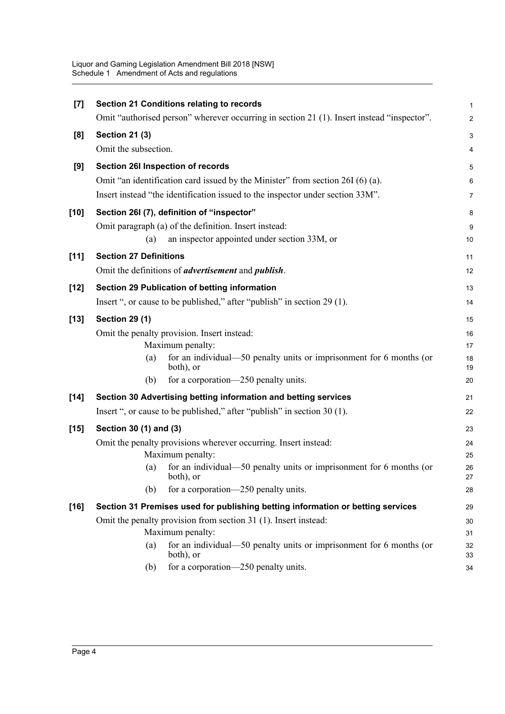| [7]    | Section 21 Conditions relating to records                                                  | $\mathbf 1$               |
|--------|--------------------------------------------------------------------------------------------|---------------------------|
|        | Omit "authorised person" wherever occurring in section 21 (1). Insert instead "inspector". | $\boldsymbol{2}$          |
| [8]    | <b>Section 21 (3)</b>                                                                      | $\ensuremath{\mathsf{3}}$ |
|        | Omit the subsection.                                                                       | 4                         |
| [9]    | Section 26I Inspection of records                                                          | $\mathbf 5$               |
|        | Omit "an identification card issued by the Minister" from section 26I (6) (a).             | 6                         |
|        | Insert instead "the identification issued to the inspector under section 33M".             | $\overline{7}$            |
| $[10]$ | Section 26I (7), definition of "inspector"                                                 | 8                         |
|        | Omit paragraph (a) of the definition. Insert instead:                                      | 9                         |
|        | an inspector appointed under section 33M, or<br>(a)                                        | 10                        |
| [11]   | <b>Section 27 Definitions</b>                                                              | 11                        |
|        | Omit the definitions of <i>advertisement</i> and <i>publish</i> .                          | 12                        |
| $[12]$ | Section 29 Publication of betting information                                              | 13                        |
|        | Insert ", or cause to be published," after "publish" in section 29 (1).                    | 14                        |
| $[13]$ | <b>Section 29 (1)</b>                                                                      | 15                        |
|        | Omit the penalty provision. Insert instead:                                                | 16                        |
|        | Maximum penalty:                                                                           | 17                        |
|        | for an individual—50 penalty units or imprisonment for 6 months (or<br>(a)<br>both), or    | 18<br>19                  |
|        | for a corporation—250 penalty units.<br>(b)                                                | 20                        |
| $[14]$ | Section 30 Advertising betting information and betting services                            | 21                        |
|        | Insert ", or cause to be published," after "publish" in section 30 (1).                    | 22                        |
| $[15]$ | Section 30 (1) and (3)                                                                     | 23                        |
|        | Omit the penalty provisions wherever occurring. Insert instead:                            | 24                        |
|        | Maximum penalty:                                                                           | 25                        |
|        | for an individual—50 penalty units or imprisonment for 6 months (or<br>(a)<br>both), or    | 26<br>$27\,$              |
|        | for a corporation—250 penalty units.<br>(b)                                                | 28                        |
| $[16]$ | Section 31 Premises used for publishing betting information or betting services            | 29                        |
|        | Omit the penalty provision from section 31 (1). Insert instead:                            | 30                        |
|        | Maximum penalty:                                                                           | 31                        |
|        | for an individual—50 penalty units or imprisonment for $6$ months (or<br>(a)<br>both), or  | 32<br>33                  |
|        | for a corporation-250 penalty units.<br>(b)                                                | 34                        |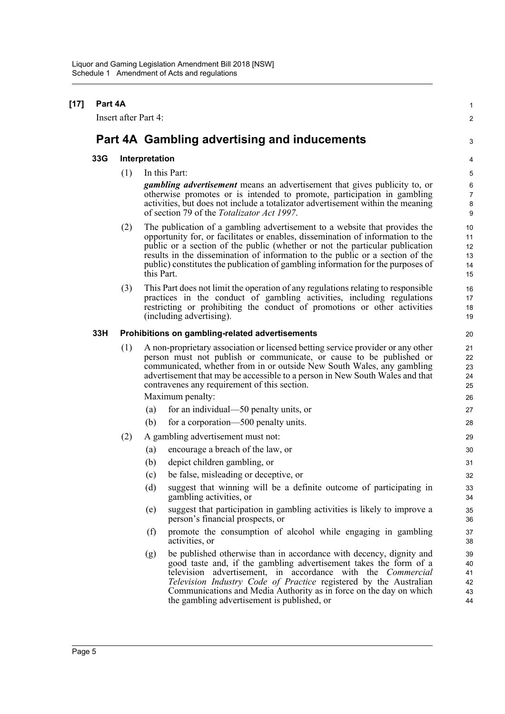| $[17]$ | Part 4A |                      |                                                                                                                                                                                                                                                                                                                                                                                                                                 | 1                                     |  |  |
|--------|---------|----------------------|---------------------------------------------------------------------------------------------------------------------------------------------------------------------------------------------------------------------------------------------------------------------------------------------------------------------------------------------------------------------------------------------------------------------------------|---------------------------------------|--|--|
|        |         | Insert after Part 4: |                                                                                                                                                                                                                                                                                                                                                                                                                                 | $\overline{2}$                        |  |  |
|        |         |                      | Part 4A Gambling advertising and inducements                                                                                                                                                                                                                                                                                                                                                                                    | 3                                     |  |  |
|        | 33G     | Interpretation       |                                                                                                                                                                                                                                                                                                                                                                                                                                 |                                       |  |  |
|        |         | (1)                  | In this Part:                                                                                                                                                                                                                                                                                                                                                                                                                   | 5                                     |  |  |
|        |         |                      | <i>gambling advertisement</i> means an advertisement that gives publicity to, or<br>otherwise promotes or is intended to promote, participation in gambling<br>activities, but does not include a totalizator advertisement within the meaning<br>of section 79 of the <i>Totalizator Act 1997</i> .                                                                                                                            | 6<br>$\boldsymbol{7}$<br>$\bf 8$<br>9 |  |  |
|        |         | (2)                  | The publication of a gambling advertisement to a website that provides the<br>opportunity for, or facilitates or enables, dissemination of information to the<br>public or a section of the public (whether or not the particular publication<br>results in the dissemination of information to the public or a section of the<br>public) constitutes the publication of gambling information for the purposes of<br>this Part. | 10<br>11<br>12<br>13<br>14<br>15      |  |  |
|        |         | (3)                  | This Part does not limit the operation of any regulations relating to responsible<br>practices in the conduct of gambling activities, including regulations<br>restricting or prohibiting the conduct of promotions or other activities<br>(including advertising).                                                                                                                                                             | 16<br>17<br>18<br>19                  |  |  |
|        | 33H     |                      | Prohibitions on gambling-related advertisements                                                                                                                                                                                                                                                                                                                                                                                 | 20                                    |  |  |
|        |         | (1)                  | A non-proprietary association or licensed betting service provider or any other<br>person must not publish or communicate, or cause to be published or<br>communicated, whether from in or outside New South Wales, any gambling<br>advertisement that may be accessible to a person in New South Wales and that<br>contravenes any requirement of this section.                                                                | 21<br>22<br>23<br>24<br>25            |  |  |
|        |         |                      | Maximum penalty:                                                                                                                                                                                                                                                                                                                                                                                                                | 26                                    |  |  |
|        |         |                      | for an individual—50 penalty units, or<br>(a)                                                                                                                                                                                                                                                                                                                                                                                   | 27                                    |  |  |
|        |         |                      | (b)<br>for a corporation—500 penalty units.                                                                                                                                                                                                                                                                                                                                                                                     | 28                                    |  |  |
|        |         | (2)                  | A gambling advertisement must not:                                                                                                                                                                                                                                                                                                                                                                                              | 29                                    |  |  |
|        |         |                      | encourage a breach of the law, or<br>(a)                                                                                                                                                                                                                                                                                                                                                                                        | 30                                    |  |  |
|        |         |                      | (b)<br>depict children gambling, or                                                                                                                                                                                                                                                                                                                                                                                             | 31                                    |  |  |
|        |         |                      | be false, misleading or deceptive, or<br>(c)                                                                                                                                                                                                                                                                                                                                                                                    | 32                                    |  |  |
|        |         |                      | suggest that winning will be a definite outcome of participating in<br>(d)<br>gambling activities, or                                                                                                                                                                                                                                                                                                                           | 33<br>34                              |  |  |
|        |         |                      | suggest that participation in gambling activities is likely to improve a<br>(e)<br>person's financial prospects, or                                                                                                                                                                                                                                                                                                             | 35<br>36                              |  |  |
|        |         |                      | promote the consumption of alcohol while engaging in gambling<br>(f)<br>activities, or                                                                                                                                                                                                                                                                                                                                          | 37<br>38                              |  |  |
|        |         |                      | be published otherwise than in accordance with decency, dignity and<br>(g)<br>good taste and, if the gambling advertisement takes the form of a<br>television advertisement, in accordance with the Commercial<br>Television Industry Code of Practice registered by the Australian<br>Communications and Media Authority as in force on the day on which<br>the gambling advertisement is published, or                        | 39<br>40<br>41<br>42<br>43<br>44      |  |  |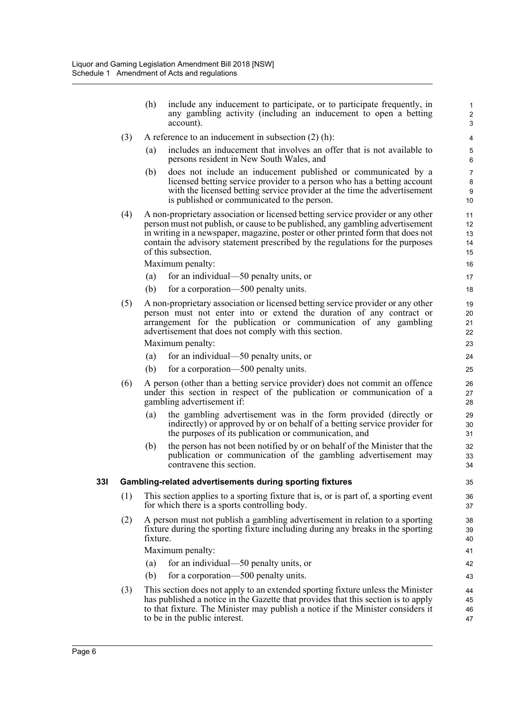(h) include any inducement to participate, or to participate frequently, in any gambling activity (including an inducement to open a betting account).

- (3) A reference to an inducement in subsection (2) (h):
	- (a) includes an inducement that involves an offer that is not available to persons resident in New South Wales, and
	- (b) does not include an inducement published or communicated by a licensed betting service provider to a person who has a betting account with the licensed betting service provider at the time the advertisement is published or communicated to the person.
- (4) A non-proprietary association or licensed betting service provider or any other person must not publish, or cause to be published, any gambling advertisement in writing in a newspaper, magazine, poster or other printed form that does not contain the advisory statement prescribed by the regulations for the purposes of this subsection.

Maximum penalty:

- (a) for an individual—50 penalty units, or
- (b) for a corporation—500 penalty units.
- (5) A non-proprietary association or licensed betting service provider or any other person must not enter into or extend the duration of any contract or arrangement for the publication or communication of any gambling advertisement that does not comply with this section.

Maximum penalty:

- (a) for an individual—50 penalty units, or
- (b) for a corporation—500 penalty units.
- (6) A person (other than a betting service provider) does not commit an offence under this section in respect of the publication or communication of a gambling advertisement if:
	- (a) the gambling advertisement was in the form provided (directly or indirectly) or approved by or on behalf of a betting service provider for the purposes of its publication or communication, and
	- (b) the person has not been notified by or on behalf of the Minister that the publication or communication of the gambling advertisement may contravene this section.

#### **33I Gambling-related advertisements during sporting fixtures**

- (1) This section applies to a sporting fixture that is, or is part of, a sporting event for which there is a sports controlling body.
- (2) A person must not publish a gambling advertisement in relation to a sporting fixture during the sporting fixture including during any breaks in the sporting fixture.

Maximum penalty:

- (a) for an individual—50 penalty units, or
- (b) for a corporation—500 penalty units.
- (3) This section does not apply to an extended sporting fixture unless the Minister has published a notice in the Gazette that provides that this section is to apply to that fixture. The Minister may publish a notice if the Minister considers it to be in the public interest.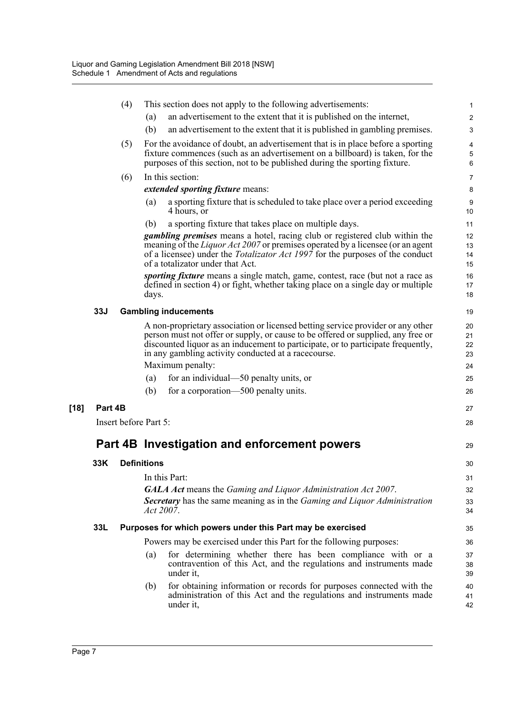|      |            | (4) | This section does not apply to the following advertisements:                                                                                                                                                                                                                                                                        | $\mathbf{1}$               |
|------|------------|-----|-------------------------------------------------------------------------------------------------------------------------------------------------------------------------------------------------------------------------------------------------------------------------------------------------------------------------------------|----------------------------|
|      |            |     | an advertisement to the extent that it is published on the internet,<br>(a)                                                                                                                                                                                                                                                         | $\boldsymbol{2}$           |
|      |            |     | (b)<br>an advertisement to the extent that it is published in gambling premises.                                                                                                                                                                                                                                                    | 3                          |
|      |            | (5) | For the avoidance of doubt, an advertisement that is in place before a sporting                                                                                                                                                                                                                                                     | 4                          |
|      |            |     | fixture commences (such as an advertisement on a billboard) is taken, for the<br>purposes of this section, not to be published during the sporting fixture.                                                                                                                                                                         | 5<br>6                     |
|      |            | (6) | In this section:                                                                                                                                                                                                                                                                                                                    | $\overline{7}$             |
|      |            |     | <i>extended sporting fixture means:</i>                                                                                                                                                                                                                                                                                             | 8                          |
|      |            |     | a sporting fixture that is scheduled to take place over a period exceeding<br>(a)<br>4 hours, or                                                                                                                                                                                                                                    | $\boldsymbol{9}$<br>10     |
|      |            |     | a sporting fixture that takes place on multiple days.<br>(b)                                                                                                                                                                                                                                                                        | 11                         |
|      |            |     | <i>gambling premises</i> means a hotel, racing club or registered club within the<br>meaning of the <i>Liquor Act 2007</i> or premises operated by a licensee (or an agent<br>of a licensee) under the <i>Totalizator Act 1997</i> for the purposes of the conduct<br>of a totalizator under that Act.                              | 12<br>13<br>14<br>15       |
|      |            |     | <i>sporting fixture</i> means a single match, game, contest, race (but not a race as<br>defined in section 4) or fight, whether taking place on a single day or multiple<br>days.                                                                                                                                                   | 16<br>17<br>18             |
|      | <b>33J</b> |     | <b>Gambling inducements</b>                                                                                                                                                                                                                                                                                                         | 19                         |
|      |            |     | A non-proprietary association or licensed betting service provider or any other<br>person must not offer or supply, or cause to be offered or supplied, any free or<br>discounted liquor as an inducement to participate, or to participate frequently,<br>in any gambling activity conducted at a race course.<br>Maximum penalty: | 20<br>21<br>22<br>23<br>24 |
|      |            |     | for an individual—50 penalty units, or<br>(a)                                                                                                                                                                                                                                                                                       | 25                         |
|      |            |     | for a corporation—500 penalty units.<br>(b)                                                                                                                                                                                                                                                                                         | 26                         |
| [18] | Part 4B    |     |                                                                                                                                                                                                                                                                                                                                     | 27                         |
|      |            |     | Insert before Part 5:                                                                                                                                                                                                                                                                                                               | 28                         |
|      |            |     | Part 4B Investigation and enforcement powers                                                                                                                                                                                                                                                                                        | 29                         |
|      | 33K        |     | <b>Definitions</b>                                                                                                                                                                                                                                                                                                                  | 30                         |
|      |            |     | In this Part:                                                                                                                                                                                                                                                                                                                       | 31                         |
|      |            |     | <b>GALA Act</b> means the Gaming and Liquor Administration Act 2007.                                                                                                                                                                                                                                                                | 32                         |
|      |            |     | <b>Secretary</b> has the same meaning as in the <i>Gaming and Liquor Administration</i><br>Act 2007.                                                                                                                                                                                                                                | 33<br>34                   |
|      | 33L        |     | Purposes for which powers under this Part may be exercised                                                                                                                                                                                                                                                                          | 35                         |
|      |            |     | Powers may be exercised under this Part for the following purposes:                                                                                                                                                                                                                                                                 | 36                         |
|      |            |     | for determining whether there has been compliance with or a<br>(a)<br>contravention of this Act, and the regulations and instruments made<br>under it,                                                                                                                                                                              | 37<br>38<br>39             |
|      |            |     | for obtaining information or records for purposes connected with the<br>(b)<br>administration of this Act and the regulations and instruments made<br>under it,                                                                                                                                                                     | 40<br>41<br>42             |
|      |            |     |                                                                                                                                                                                                                                                                                                                                     |                            |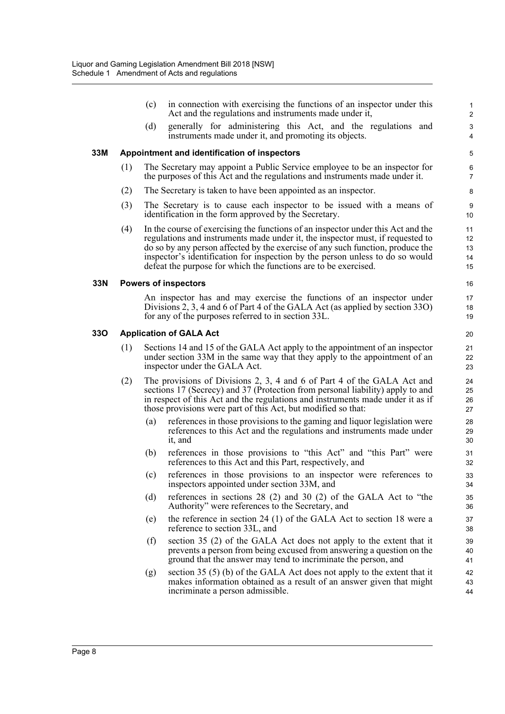|     |     | (c)                                                                                                                                                                                        | in connection with exercising the functions of an inspector under this<br>Act and the regulations and instruments made under it,                                                                                                                                                                                                                                                                         | 1<br>$\overline{\mathbf{c}}$ |  |
|-----|-----|--------------------------------------------------------------------------------------------------------------------------------------------------------------------------------------------|----------------------------------------------------------------------------------------------------------------------------------------------------------------------------------------------------------------------------------------------------------------------------------------------------------------------------------------------------------------------------------------------------------|------------------------------|--|
|     |     | (d)                                                                                                                                                                                        | generally for administering this Act, and the regulations and<br>instruments made under it, and promoting its objects.                                                                                                                                                                                                                                                                                   | 3<br>4                       |  |
| 33M |     |                                                                                                                                                                                            | Appointment and identification of inspectors                                                                                                                                                                                                                                                                                                                                                             | 5                            |  |
|     | (1) |                                                                                                                                                                                            | The Secretary may appoint a Public Service employee to be an inspector for<br>the purposes of this Act and the regulations and instruments made under it.                                                                                                                                                                                                                                                | 6<br>7                       |  |
|     | (2) |                                                                                                                                                                                            | The Secretary is taken to have been appointed as an inspector.                                                                                                                                                                                                                                                                                                                                           | 8                            |  |
|     | (3) |                                                                                                                                                                                            | The Secretary is to cause each inspector to be issued with a means of<br>identification in the form approved by the Secretary.                                                                                                                                                                                                                                                                           | 9<br>10                      |  |
|     | (4) |                                                                                                                                                                                            | In the course of exercising the functions of an inspector under this Act and the<br>regulations and instruments made under it, the inspector must, if requested to<br>do so by any person affected by the exercise of any such function, produce the<br>inspector's identification for inspection by the person unless to do so would<br>defeat the purpose for which the functions are to be exercised. | 11<br>12<br>13<br>14<br>15   |  |
| 33N |     |                                                                                                                                                                                            | <b>Powers of inspectors</b>                                                                                                                                                                                                                                                                                                                                                                              | 16                           |  |
|     |     |                                                                                                                                                                                            | An inspector has and may exercise the functions of an inspector under<br>Divisions 2, 3, 4 and 6 of Part 4 of the GALA Act (as applied by section 330)<br>for any of the purposes referred to in section 33L.                                                                                                                                                                                            | 17<br>18<br>19               |  |
| 33O |     |                                                                                                                                                                                            | <b>Application of GALA Act</b>                                                                                                                                                                                                                                                                                                                                                                           | 20                           |  |
|     | (1) | Sections 14 and 15 of the GALA Act apply to the appointment of an inspector<br>under section 33M in the same way that they apply to the appointment of an<br>inspector under the GALA Act. |                                                                                                                                                                                                                                                                                                                                                                                                          |                              |  |
|     | (2) |                                                                                                                                                                                            | The provisions of Divisions 2, 3, 4 and 6 of Part 4 of the GALA Act and<br>sections 17 (Secrecy) and 37 (Protection from personal liability) apply to and<br>in respect of this Act and the regulations and instruments made under it as if<br>those provisions were part of this Act, but modified so that:                                                                                             | 24<br>25<br>26<br>27         |  |
|     |     | $\left( a\right)$                                                                                                                                                                          | references in those provisions to the gaming and liquor legislation were<br>references to this Act and the regulations and instruments made under<br>it, and                                                                                                                                                                                                                                             | 28<br>29<br>30               |  |
|     |     | (b)                                                                                                                                                                                        | references in those provisions to "this Act" and "this Part" were<br>references to this Act and this Part, respectively, and                                                                                                                                                                                                                                                                             | 31<br>32                     |  |
|     |     | (c)                                                                                                                                                                                        | references in those provisions to an inspector were references to<br>inspectors appointed under section 33M, and                                                                                                                                                                                                                                                                                         | 33<br>34                     |  |
|     |     | (d)                                                                                                                                                                                        | references in sections $28(2)$ and $30(2)$ of the GALA Act to "the<br>Authority" were references to the Secretary, and                                                                                                                                                                                                                                                                                   | 35<br>36                     |  |
|     |     | (e)                                                                                                                                                                                        | the reference in section 24 (1) of the GALA Act to section 18 were a<br>reference to section 33L, and                                                                                                                                                                                                                                                                                                    | 37<br>38                     |  |
|     |     | (f)                                                                                                                                                                                        | section 35 (2) of the GALA Act does not apply to the extent that it<br>prevents a person from being excused from answering a question on the<br>ground that the answer may tend to incriminate the person, and                                                                                                                                                                                           | 39<br>40<br>41               |  |
|     |     | (g)                                                                                                                                                                                        | section $35(5)(b)$ of the GALA Act does not apply to the extent that it<br>makes information obtained as a result of an answer given that might<br>incriminate a person admissible.                                                                                                                                                                                                                      | 42<br>43<br>44               |  |
|     |     |                                                                                                                                                                                            |                                                                                                                                                                                                                                                                                                                                                                                                          |                              |  |

**33O Application of GALA Act**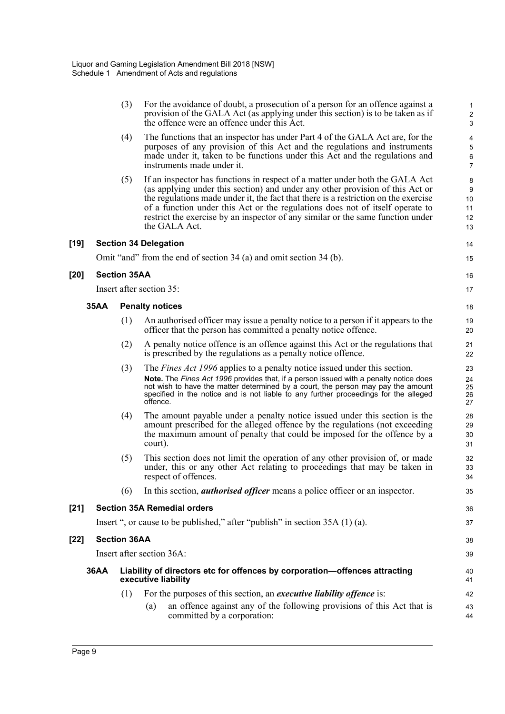|        |             |                     | provision of the GALA Act (as applying under this section) is to be taken as if<br>the offence were an offence under this Act.                                                                                                                                                                                                                                                                                                            | $\sqrt{2}$<br>3                |
|--------|-------------|---------------------|-------------------------------------------------------------------------------------------------------------------------------------------------------------------------------------------------------------------------------------------------------------------------------------------------------------------------------------------------------------------------------------------------------------------------------------------|--------------------------------|
|        |             | (4)                 | The functions that an inspector has under Part 4 of the GALA Act are, for the<br>purposes of any provision of this Act and the regulations and instruments<br>made under it, taken to be functions under this Act and the regulations and<br>instruments made under it.                                                                                                                                                                   | 4<br>5<br>6<br>$\overline{7}$  |
|        |             | (5)                 | If an inspector has functions in respect of a matter under both the GALA Act<br>(as applying under this section) and under any other provision of this Act or<br>the regulations made under it, the fact that there is a restriction on the exercise<br>of a function under this Act or the regulations does not of itself operate to<br>restrict the exercise by an inspector of any similar or the same function under<br>the GALA Act. | 8<br>9<br>10<br>11<br>12<br>13 |
| [19]   |             |                     | <b>Section 34 Delegation</b>                                                                                                                                                                                                                                                                                                                                                                                                              | 14                             |
|        |             |                     | Omit "and" from the end of section 34 (a) and omit section 34 (b).                                                                                                                                                                                                                                                                                                                                                                        | 15                             |
| [20]   |             | <b>Section 35AA</b> |                                                                                                                                                                                                                                                                                                                                                                                                                                           | 16                             |
|        |             |                     | Insert after section 35:                                                                                                                                                                                                                                                                                                                                                                                                                  | 17                             |
|        | <b>35AA</b> |                     | <b>Penalty notices</b>                                                                                                                                                                                                                                                                                                                                                                                                                    | 18                             |
|        |             | (1)                 | An authorised officer may issue a penalty notice to a person if it appears to the<br>officer that the person has committed a penalty notice offence.                                                                                                                                                                                                                                                                                      | 19<br>20                       |
|        |             | (2)                 | A penalty notice offence is an offence against this Act or the regulations that<br>is prescribed by the regulations as a penalty notice offence.                                                                                                                                                                                                                                                                                          | 21<br>22                       |
|        |             | (3)                 | The <i>Fines Act 1996</i> applies to a penalty notice issued under this section.<br>Note. The Fines Act 1996 provides that, if a person issued with a penalty notice does<br>not wish to have the matter determined by a court, the person may pay the amount<br>specified in the notice and is not liable to any further proceedings for the alleged<br>offence.                                                                         | 23<br>24<br>25<br>26<br>27     |
|        |             | (4)                 | The amount payable under a penalty notice issued under this section is the<br>amount prescribed for the alleged offence by the regulations (not exceeding<br>the maximum amount of penalty that could be imposed for the offence by a<br>court).                                                                                                                                                                                          | 28<br>29<br>30<br>31           |
|        |             | (5)                 | This section does not limit the operation of any other provision of, or made<br>under, this or any other Act relating to proceedings that may be taken in<br>respect of offences.                                                                                                                                                                                                                                                         | 32<br>33<br>34                 |
|        |             | (6)                 | In this section, <i>authorised officer</i> means a police officer or an inspector.                                                                                                                                                                                                                                                                                                                                                        | 35                             |
| $[21]$ |             |                     | <b>Section 35A Remedial orders</b>                                                                                                                                                                                                                                                                                                                                                                                                        | 36                             |
|        |             |                     | Insert ", or cause to be published," after "publish" in section 35A (1) (a).                                                                                                                                                                                                                                                                                                                                                              | 37                             |
| [22]   |             | <b>Section 36AA</b> |                                                                                                                                                                                                                                                                                                                                                                                                                                           | 38                             |
|        |             |                     | Insert after section 36A:                                                                                                                                                                                                                                                                                                                                                                                                                 | 39                             |
|        | <b>36AA</b> |                     | Liability of directors etc for offences by corporation-offences attracting<br>executive liability                                                                                                                                                                                                                                                                                                                                         | 40<br>41                       |
|        |             | (1)                 | For the purposes of this section, an executive liability offence is:                                                                                                                                                                                                                                                                                                                                                                      | 42                             |
|        |             |                     | an offence against any of the following provisions of this Act that is<br>(a)<br>committed by a corporation:                                                                                                                                                                                                                                                                                                                              | 43<br>44                       |
|        |             |                     |                                                                                                                                                                                                                                                                                                                                                                                                                                           |                                |

(3) For the avoidance of doubt, a prosecution of a person for an offence against a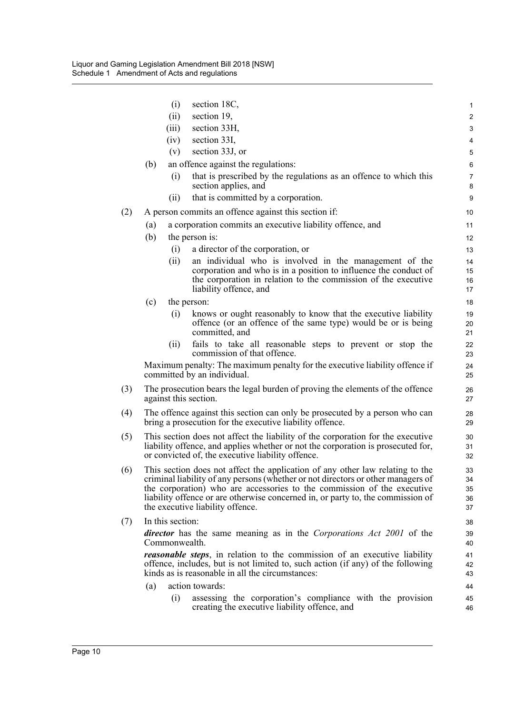|     |     | (i)              | section 18C,                                                                                                                                                                                                                                                                                                                                                        | $\mathbf{1}$               |
|-----|-----|------------------|---------------------------------------------------------------------------------------------------------------------------------------------------------------------------------------------------------------------------------------------------------------------------------------------------------------------------------------------------------------------|----------------------------|
|     |     | (ii)             | section 19,                                                                                                                                                                                                                                                                                                                                                         | $\overline{2}$             |
|     |     | (iii)            | section 33H,                                                                                                                                                                                                                                                                                                                                                        | 3                          |
|     |     | (iv)             | section 33I,                                                                                                                                                                                                                                                                                                                                                        | 4                          |
|     |     | (v)              | section 33J, or                                                                                                                                                                                                                                                                                                                                                     | 5                          |
|     | (b) |                  | an offence against the regulations:                                                                                                                                                                                                                                                                                                                                 | 6                          |
|     |     | (i)              | that is prescribed by the regulations as an offence to which this<br>section applies, and                                                                                                                                                                                                                                                                           | $\overline{7}$<br>8        |
|     |     | (ii)             | that is committed by a corporation.                                                                                                                                                                                                                                                                                                                                 | 9                          |
| (2) |     |                  | A person commits an offence against this section if:                                                                                                                                                                                                                                                                                                                | 10                         |
|     | (a) |                  | a corporation commits an executive liability offence, and                                                                                                                                                                                                                                                                                                           | 11                         |
|     | (b) |                  | the person is:                                                                                                                                                                                                                                                                                                                                                      | 12                         |
|     |     | (i)              | a director of the corporation, or                                                                                                                                                                                                                                                                                                                                   | 13                         |
|     |     | (ii)             | an individual who is involved in the management of the<br>corporation and who is in a position to influence the conduct of<br>the corporation in relation to the commission of the executive<br>liability offence, and                                                                                                                                              | 14<br>15<br>16<br>17       |
|     | (c) |                  | the person:                                                                                                                                                                                                                                                                                                                                                         | 18                         |
|     |     | (i)              | knows or ought reasonably to know that the executive liability<br>offence (or an offence of the same type) would be or is being<br>committed, and                                                                                                                                                                                                                   | 19<br>20<br>21             |
|     |     | (ii)             | fails to take all reasonable steps to prevent or stop the<br>commission of that offence.                                                                                                                                                                                                                                                                            | 22<br>23                   |
|     |     |                  | Maximum penalty: The maximum penalty for the executive liability offence if<br>committed by an individual.                                                                                                                                                                                                                                                          | 24<br>25                   |
| (3) |     |                  | The prosecution bears the legal burden of proving the elements of the offence<br>against this section.                                                                                                                                                                                                                                                              | 26<br>27                   |
| (4) |     |                  | The offence against this section can only be prosecuted by a person who can<br>bring a prosecution for the executive liability offence.                                                                                                                                                                                                                             | 28<br>29                   |
| (5) |     |                  | This section does not affect the liability of the corporation for the executive<br>liability offence, and applies whether or not the corporation is prosecuted for,<br>or convicted of, the executive liability offence.                                                                                                                                            | 30<br>31<br>32             |
| (6) |     |                  | This section does not affect the application of any other law relating to the<br>criminal liability of any persons (whether or not directors or other managers of<br>the corporation) who are accessories to the commission of the executive<br>liability offence or are otherwise concerned in, or party to, the commission of<br>the executive liability offence. | 33<br>34<br>35<br>36<br>37 |
| (7) |     | In this section: |                                                                                                                                                                                                                                                                                                                                                                     | 38                         |
|     |     | Commonwealth.    | <i>director</i> has the same meaning as in the <i>Corporations Act 2001</i> of the                                                                                                                                                                                                                                                                                  | 39<br>40                   |
|     |     |                  | <b>reasonable steps</b> , in relation to the commission of an executive liability<br>offence, includes, but is not limited to, such action (if any) of the following<br>kinds as is reasonable in all the circumstances:                                                                                                                                            | 41<br>42<br>43             |
|     | (a) |                  | action towards:                                                                                                                                                                                                                                                                                                                                                     | 44                         |
|     |     | (i)              | assessing the corporation's compliance with the provision<br>creating the executive liability offence, and                                                                                                                                                                                                                                                          | 45<br>46                   |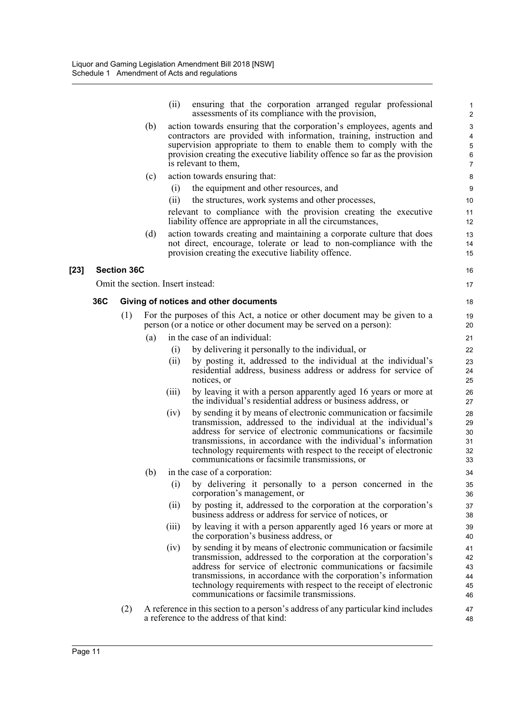|        |     |                    |     | (ii)  | ensuring that the corporation arranged regular professional                                                                                                                                                                                                                                                                                                                               | 1                                |
|--------|-----|--------------------|-----|-------|-------------------------------------------------------------------------------------------------------------------------------------------------------------------------------------------------------------------------------------------------------------------------------------------------------------------------------------------------------------------------------------------|----------------------------------|
|        |     |                    | (b) |       | assessments of its compliance with the provision,<br>action towards ensuring that the corporation's employees, agents and                                                                                                                                                                                                                                                                 | $\boldsymbol{2}$<br>3            |
|        |     |                    |     |       | contractors are provided with information, training, instruction and                                                                                                                                                                                                                                                                                                                      | 4                                |
|        |     |                    |     |       | supervision appropriate to them to enable them to comply with the                                                                                                                                                                                                                                                                                                                         | 5                                |
|        |     |                    |     |       | provision creating the executive liability offence so far as the provision<br>is relevant to them,                                                                                                                                                                                                                                                                                        | 6<br>$\overline{7}$              |
|        |     |                    | (c) |       | action towards ensuring that:                                                                                                                                                                                                                                                                                                                                                             | 8                                |
|        |     |                    |     | (i)   | the equipment and other resources, and                                                                                                                                                                                                                                                                                                                                                    | 9                                |
|        |     |                    |     | (i)   | the structures, work systems and other processes,                                                                                                                                                                                                                                                                                                                                         | 10                               |
|        |     |                    |     |       | relevant to compliance with the provision creating the executive<br>liability offence are appropriate in all the circumstances,                                                                                                                                                                                                                                                           | 11<br>12                         |
|        |     |                    | (d) |       | action towards creating and maintaining a corporate culture that does<br>not direct, encourage, tolerate or lead to non-compliance with the<br>provision creating the executive liability offence.                                                                                                                                                                                        | 13<br>14<br>15                   |
| $[23]$ |     | <b>Section 36C</b> |     |       |                                                                                                                                                                                                                                                                                                                                                                                           | 16                               |
|        |     |                    |     |       | Omit the section. Insert instead:                                                                                                                                                                                                                                                                                                                                                         | 17                               |
|        | 36C |                    |     |       | Giving of notices and other documents                                                                                                                                                                                                                                                                                                                                                     | 18                               |
|        |     | (1)                |     |       | For the purposes of this Act, a notice or other document may be given to a                                                                                                                                                                                                                                                                                                                | 19                               |
|        |     |                    |     |       | person (or a notice or other document may be served on a person):                                                                                                                                                                                                                                                                                                                         | 20                               |
|        |     |                    | (a) |       | in the case of an individual:                                                                                                                                                                                                                                                                                                                                                             | 21                               |
|        |     |                    |     | (i)   | by delivering it personally to the individual, or                                                                                                                                                                                                                                                                                                                                         | 22                               |
|        |     |                    |     | (ii)  | by posting it, addressed to the individual at the individual's<br>residential address, business address or address for service of<br>notices, or                                                                                                                                                                                                                                          | 23<br>24<br>25                   |
|        |     |                    |     | (iii) | by leaving it with a person apparently aged 16 years or more at<br>the individual's residential address or business address, or                                                                                                                                                                                                                                                           | 26<br>27                         |
|        |     |                    |     | (iv)  | by sending it by means of electronic communication or facsimile<br>transmission, addressed to the individual at the individual's<br>address for service of electronic communications or facsimile<br>transmissions, in accordance with the individual's information<br>technology requirements with respect to the receipt of electronic<br>communications or facsimile transmissions, or | 28<br>29<br>30<br>31<br>32<br>33 |
|        |     |                    | (b) |       | in the case of a corporation:                                                                                                                                                                                                                                                                                                                                                             | 34                               |
|        |     |                    |     | (i)   | by delivering it personally to a person concerned in the<br>corporation's management, or                                                                                                                                                                                                                                                                                                  | 35<br>36                         |
|        |     |                    |     | (ii)  | by posting it, addressed to the corporation at the corporation's<br>business address or address for service of notices, or                                                                                                                                                                                                                                                                | 37<br>38                         |
|        |     |                    |     | (111) | by leaving it with a person apparently aged 16 years or more at<br>the corporation's business address, or                                                                                                                                                                                                                                                                                 | 39<br>40                         |
|        |     |                    |     | (iv)  | by sending it by means of electronic communication or facsimile<br>transmission, addressed to the corporation at the corporation's<br>address for service of electronic communications or facsimile<br>transmissions, in accordance with the corporation's information<br>technology requirements with respect to the receipt of electronic<br>communications or facsimile transmissions. | 41<br>42<br>43<br>44<br>45<br>46 |
|        |     | (2)                |     |       | A reference in this section to a person's address of any particular kind includes<br>a reference to the address of that kind:                                                                                                                                                                                                                                                             | 47<br>48                         |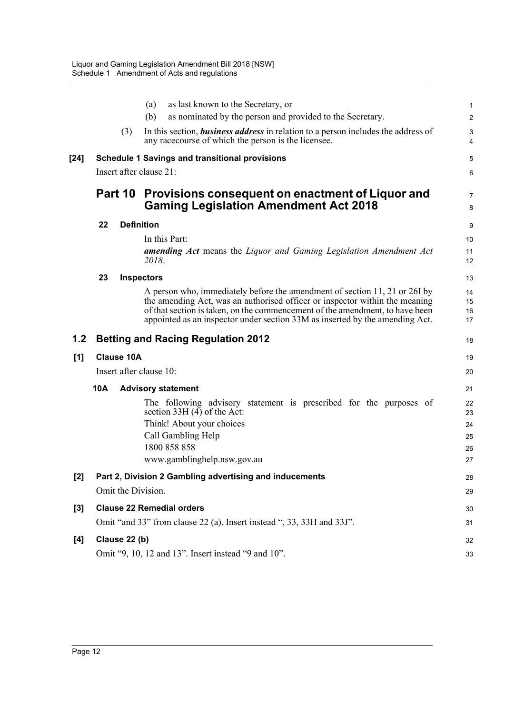|        |                         | as last known to the Secretary, or<br>(a)                                                                                                                                                                                                                                                                                 | 1                       |
|--------|-------------------------|---------------------------------------------------------------------------------------------------------------------------------------------------------------------------------------------------------------------------------------------------------------------------------------------------------------------------|-------------------------|
|        |                         | (b)<br>as nominated by the person and provided to the Secretary.                                                                                                                                                                                                                                                          | $\overline{\mathbf{c}}$ |
|        | (3)                     | In this section, <i>business address</i> in relation to a person includes the address of<br>any race course of which the person is the licensee.                                                                                                                                                                          | 3<br>4                  |
| $[24]$ |                         | <b>Schedule 1 Savings and transitional provisions</b>                                                                                                                                                                                                                                                                     | 5                       |
|        | Insert after clause 21: |                                                                                                                                                                                                                                                                                                                           | 6                       |
|        |                         |                                                                                                                                                                                                                                                                                                                           |                         |
|        |                         | Part 10 Provisions consequent on enactment of Liquor and<br><b>Gaming Legislation Amendment Act 2018</b>                                                                                                                                                                                                                  | 7<br>8                  |
|        | 22                      | <b>Definition</b>                                                                                                                                                                                                                                                                                                         | 9                       |
|        |                         | In this Part:                                                                                                                                                                                                                                                                                                             | 10                      |
|        |                         | <b>amending Act</b> means the Liquor and Gaming Legislation Amendment Act<br>2018.                                                                                                                                                                                                                                        | 11<br>12                |
|        | 23                      | <b>Inspectors</b>                                                                                                                                                                                                                                                                                                         | 13                      |
|        |                         | A person who, immediately before the amendment of section 11, 21 or 26I by<br>the amending Act, was an authorised officer or inspector within the meaning<br>of that section is taken, on the commencement of the amendment, to have been<br>appointed as an inspector under section 33M as inserted by the amending Act. | 14<br>15<br>16<br>17    |
| 1.2    |                         | <b>Betting and Racing Regulation 2012</b>                                                                                                                                                                                                                                                                                 | 18                      |
|        |                         |                                                                                                                                                                                                                                                                                                                           |                         |
| [1]    | <b>Clause 10A</b>       |                                                                                                                                                                                                                                                                                                                           | 19                      |
|        | Insert after clause 10: |                                                                                                                                                                                                                                                                                                                           | 20                      |
|        | 10A                     | <b>Advisory statement</b>                                                                                                                                                                                                                                                                                                 | 21                      |
|        |                         | The following advisory statement is prescribed for the purposes of<br>section $33H(4)$ of the Act:                                                                                                                                                                                                                        | 22<br>23                |
|        |                         | Think! About your choices                                                                                                                                                                                                                                                                                                 | 24                      |
|        |                         | Call Gambling Help                                                                                                                                                                                                                                                                                                        | 25                      |
|        |                         | 1800 858 858                                                                                                                                                                                                                                                                                                              | 26                      |
|        |                         | www.gamblinghelp.nsw.gov.au                                                                                                                                                                                                                                                                                               | 27                      |
| $[2]$  |                         | Part 2, Division 2 Gambling advertising and inducements                                                                                                                                                                                                                                                                   | 28                      |
|        | Omit the Division.      |                                                                                                                                                                                                                                                                                                                           | 29                      |
| $[3]$  |                         | <b>Clause 22 Remedial orders</b>                                                                                                                                                                                                                                                                                          | 30                      |
|        |                         | Omit "and 33" from clause 22 (a). Insert instead ", 33, 33H and 33J".                                                                                                                                                                                                                                                     | 31                      |
| [4]    | Clause 22 (b)           |                                                                                                                                                                                                                                                                                                                           | 32                      |
|        |                         | Omit "9, 10, 12 and 13". Insert instead "9 and 10".                                                                                                                                                                                                                                                                       | 33                      |
|        |                         |                                                                                                                                                                                                                                                                                                                           |                         |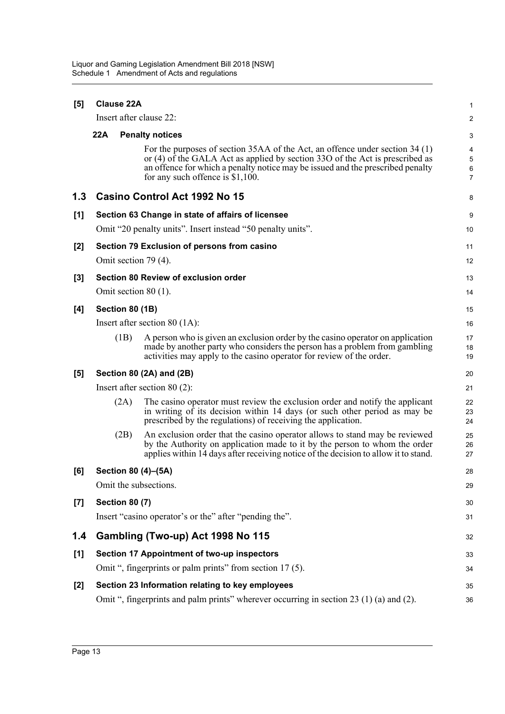| [5]   | <b>Clause 22A</b>                |                                                                                                                                                                                                                                                                                      |                                        |  |  |  |  |
|-------|----------------------------------|--------------------------------------------------------------------------------------------------------------------------------------------------------------------------------------------------------------------------------------------------------------------------------------|----------------------------------------|--|--|--|--|
|       |                                  | Insert after clause 22:                                                                                                                                                                                                                                                              | 2                                      |  |  |  |  |
|       | 22A                              | <b>Penalty notices</b>                                                                                                                                                                                                                                                               | 3                                      |  |  |  |  |
|       |                                  | For the purposes of section 35AA of the Act, an offence under section 34 (1)<br>or (4) of the GALA Act as applied by section 33O of the Act is prescribed as<br>an offence for which a penalty notice may be issued and the prescribed penalty<br>for any such offence is $$1,100$ . | 4<br>$\sqrt{5}$<br>6<br>$\overline{7}$ |  |  |  |  |
| 1.3   |                                  | Casino Control Act 1992 No 15                                                                                                                                                                                                                                                        | 8                                      |  |  |  |  |
| [1]   |                                  | Section 63 Change in state of affairs of licensee                                                                                                                                                                                                                                    | 9                                      |  |  |  |  |
|       |                                  | Omit "20 penalty units". Insert instead "50 penalty units".                                                                                                                                                                                                                          | 10                                     |  |  |  |  |
| $[2]$ |                                  | Section 79 Exclusion of persons from casino                                                                                                                                                                                                                                          | 11                                     |  |  |  |  |
|       |                                  | Omit section 79 (4).                                                                                                                                                                                                                                                                 | 12                                     |  |  |  |  |
| $[3]$ |                                  | Section 80 Review of exclusion order                                                                                                                                                                                                                                                 | 13                                     |  |  |  |  |
|       |                                  | Omit section $80(1)$ .                                                                                                                                                                                                                                                               | 14                                     |  |  |  |  |
| [4]   | Section 80 (1B)                  |                                                                                                                                                                                                                                                                                      |                                        |  |  |  |  |
|       | Insert after section 80 $(1A)$ : |                                                                                                                                                                                                                                                                                      |                                        |  |  |  |  |
|       | (1B)                             | A person who is given an exclusion order by the casino operator on application<br>made by another party who considers the person has a problem from gambling<br>activities may apply to the casino operator for review of the order.                                                 | 17<br>18<br>19                         |  |  |  |  |
| [5]   |                                  | Section 80 (2A) and (2B)                                                                                                                                                                                                                                                             | 20                                     |  |  |  |  |
|       |                                  | Insert after section $80(2)$ :                                                                                                                                                                                                                                                       | 21                                     |  |  |  |  |
|       | (2A)                             | The casino operator must review the exclusion order and notify the applicant<br>in writing of its decision within 14 days (or such other period as may be<br>prescribed by the regulations) of receiving the application.                                                            | 22<br>23<br>24                         |  |  |  |  |
|       | (2B)                             | An exclusion order that the casino operator allows to stand may be reviewed<br>by the Authority on application made to it by the person to whom the order<br>applies within 14 days after receiving notice of the decision to allow it to stand.                                     | 25<br>26<br>27                         |  |  |  |  |
| [6]   |                                  | Section 80 (4)-(5A)                                                                                                                                                                                                                                                                  | 28                                     |  |  |  |  |
|       |                                  | Omit the subsections.                                                                                                                                                                                                                                                                | 29                                     |  |  |  |  |
| [7]   | <b>Section 80 (7)</b>            |                                                                                                                                                                                                                                                                                      | 30                                     |  |  |  |  |
|       |                                  | Insert "casino operator's or the" after "pending the".                                                                                                                                                                                                                               | 31                                     |  |  |  |  |
| 1.4   |                                  | Gambling (Two-up) Act 1998 No 115                                                                                                                                                                                                                                                    | 32                                     |  |  |  |  |
| [1]   |                                  | Section 17 Appointment of two-up inspectors                                                                                                                                                                                                                                          | 33                                     |  |  |  |  |
|       |                                  | Omit ", fingerprints or palm prints" from section 17 (5).                                                                                                                                                                                                                            | 34                                     |  |  |  |  |
| $[2]$ |                                  | Section 23 Information relating to key employees                                                                                                                                                                                                                                     | 35                                     |  |  |  |  |
|       |                                  | Omit ", fingerprints and palm prints" wherever occurring in section 23 (1) (a) and (2).                                                                                                                                                                                              | 36                                     |  |  |  |  |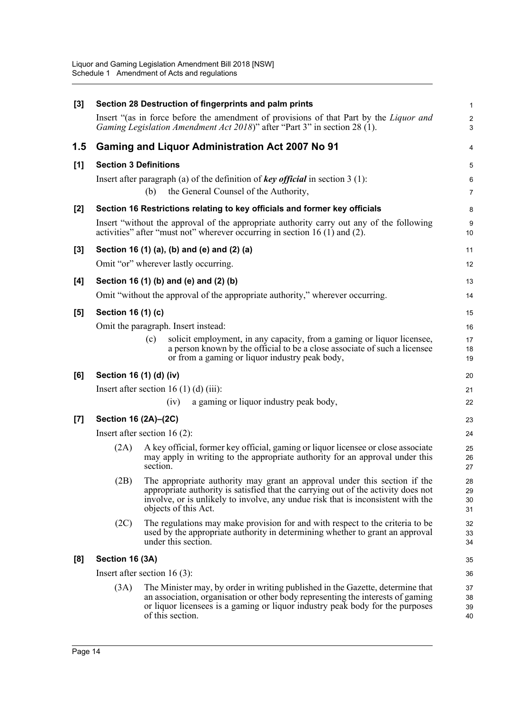| $[3]$ |                              | Section 28 Destruction of fingerprints and palm prints                                                                                                                                                                                                                     | $\mathbf{1}$         |
|-------|------------------------------|----------------------------------------------------------------------------------------------------------------------------------------------------------------------------------------------------------------------------------------------------------------------------|----------------------|
|       |                              | Insert "(as in force before the amendment of provisions of that Part by the <i>Liquor and</i><br>Gaming Legislation Amendment Act 2018)" after "Part 3" in section 28 (1).                                                                                                 | $\overline{c}$<br>3  |
| 1.5   |                              | <b>Gaming and Liquor Administration Act 2007 No 91</b>                                                                                                                                                                                                                     | 4                    |
| [1]   | <b>Section 3 Definitions</b> |                                                                                                                                                                                                                                                                            | 5                    |
|       |                              | Insert after paragraph (a) of the definition of key official in section $3(1)$ :                                                                                                                                                                                           | 6                    |
|       |                              | the General Counsel of the Authority,<br>(b)                                                                                                                                                                                                                               | $\overline{7}$       |
| [2]   |                              | Section 16 Restrictions relating to key officials and former key officials                                                                                                                                                                                                 | 8                    |
|       |                              | Insert "without the approval of the appropriate authority carry out any of the following<br>activities" after "must not" wherever occurring in section $16(1)$ and $(2)$ .                                                                                                 | 9<br>10              |
| $[3]$ |                              | Section 16 (1) (a), (b) and (e) and (2) (a)                                                                                                                                                                                                                                | 11                   |
|       |                              | Omit "or" wherever lastly occurring.                                                                                                                                                                                                                                       | 12                   |
| [4]   |                              | Section 16 (1) (b) and (e) and (2) (b)                                                                                                                                                                                                                                     | 13                   |
|       |                              | Omit "without the approval of the appropriate authority," wherever occurring.                                                                                                                                                                                              | 14                   |
| [5]   | Section 16 (1) (c)           |                                                                                                                                                                                                                                                                            | 15                   |
|       |                              | Omit the paragraph. Insert instead:                                                                                                                                                                                                                                        | 16                   |
|       |                              | solicit employment, in any capacity, from a gaming or liquor licensee,<br>(c)<br>a person known by the official to be a close associate of such a licensee                                                                                                                 | 17<br>18             |
|       |                              | or from a gaming or liquor industry peak body,                                                                                                                                                                                                                             | 19                   |
| [6]   | Section 16 (1) (d) (iv)      |                                                                                                                                                                                                                                                                            | 20                   |
|       |                              | Insert after section 16 (1) (d) (iii):                                                                                                                                                                                                                                     | 21                   |
|       |                              | a gaming or liquor industry peak body,<br>(iv)                                                                                                                                                                                                                             | 22                   |
| $[7]$ | Section 16 (2A)-(2C)         |                                                                                                                                                                                                                                                                            | 23                   |
|       |                              | Insert after section 16 $(2)$ :                                                                                                                                                                                                                                            | 24                   |
|       | (2A)                         | A key official, former key official, gaming or liquor licensee or close associate<br>may apply in writing to the appropriate authority for an approval under this<br>section.                                                                                              | 25<br>26<br>27       |
|       | (2B)                         | The appropriate authority may grant an approval under this section if the<br>appropriate authority is satisfied that the carrying out of the activity does not<br>involve, or is unlikely to involve, any undue risk that is inconsistent with the<br>objects of this Act. | 28<br>29<br>30<br>31 |
|       | (2C)                         | The regulations may make provision for and with respect to the criteria to be<br>used by the appropriate authority in determining whether to grant an approval<br>under this section.                                                                                      | 32<br>33<br>34       |
| [8]   | Section 16 (3A)              |                                                                                                                                                                                                                                                                            | 35                   |
|       |                              | Insert after section 16 $(3)$ :                                                                                                                                                                                                                                            | 36                   |
|       | (3A)                         | The Minister may, by order in writing published in the Gazette, determine that<br>an association, organisation or other body representing the interests of gaming                                                                                                          | 37                   |
|       |                              | or liquor licensees is a gaming or liquor industry peak body for the purposes                                                                                                                                                                                              | 38<br>39             |
|       |                              | of this section.                                                                                                                                                                                                                                                           | 40                   |
|       |                              |                                                                                                                                                                                                                                                                            |                      |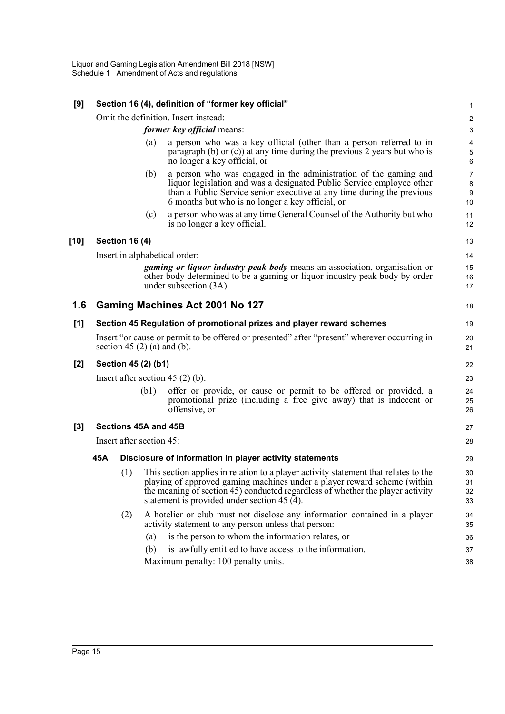| [9]   |     | Section 16 (4), definition of "former key official" |     |                                                                                                                                                                                                                                                                                                     |                                    |
|-------|-----|-----------------------------------------------------|-----|-----------------------------------------------------------------------------------------------------------------------------------------------------------------------------------------------------------------------------------------------------------------------------------------------------|------------------------------------|
|       |     |                                                     |     | Omit the definition. Insert instead:                                                                                                                                                                                                                                                                | $\sqrt{2}$                         |
|       |     |                                                     |     | former key official means:                                                                                                                                                                                                                                                                          | $\sqrt{3}$                         |
|       |     |                                                     | (a) | a person who was a key official (other than a person referred to in<br>paragraph $(b)$ or $(c)$ ) at any time during the previous 2 years but who is<br>no longer a key official, or                                                                                                                | $\overline{4}$<br>$\mathbf 5$<br>6 |
|       |     |                                                     | (b) | a person who was engaged in the administration of the gaming and<br>liquor legislation and was a designated Public Service employee other<br>than a Public Service senior executive at any time during the previous<br>6 months but who is no longer a key official, or                             | $\overline{7}$<br>8<br>9<br>10     |
|       |     |                                                     | (c) | a person who was at any time General Counsel of the Authority but who<br>is no longer a key official.                                                                                                                                                                                               | 11<br>12                           |
| [10]  |     | <b>Section 16 (4)</b>                               |     |                                                                                                                                                                                                                                                                                                     | 13                                 |
|       |     | Insert in alphabetical order:                       |     |                                                                                                                                                                                                                                                                                                     | 14                                 |
|       |     |                                                     |     | <i>gaming or liquor industry peak body</i> means an association, organisation or<br>other body determined to be a gaming or liquor industry peak body by order<br>under subsection (3A).                                                                                                            | 15<br>16<br>17                     |
| 1.6   |     |                                                     |     | Gaming Machines Act 2001 No 127                                                                                                                                                                                                                                                                     | 18                                 |
| [1]   |     |                                                     |     | Section 45 Regulation of promotional prizes and player reward schemes                                                                                                                                                                                                                               | 19                                 |
|       |     | section 45 $(2)$ (a) and (b).                       |     | Insert "or cause or permit to be offered or presented" after "present" wherever occurring in                                                                                                                                                                                                        | 20<br>21                           |
| $[2]$ |     | Section 45 (2) (b1)                                 |     |                                                                                                                                                                                                                                                                                                     | 22                                 |
|       |     |                                                     |     | Insert after section $45(2)$ (b):                                                                                                                                                                                                                                                                   | 23                                 |
|       |     | (b1)                                                |     | offer or provide, or cause or permit to be offered or provided, a<br>promotional prize (including a free give away) that is indecent or<br>offensive, or                                                                                                                                            | 24<br>25<br>26                     |
| $[3]$ |     | Sections 45A and 45B                                |     |                                                                                                                                                                                                                                                                                                     | 27                                 |
|       |     | Insert after section 45:                            |     |                                                                                                                                                                                                                                                                                                     |                                    |
|       | 45A |                                                     |     | Disclosure of information in player activity statements                                                                                                                                                                                                                                             | 29                                 |
|       |     | (1)                                                 |     | This section applies in relation to a player activity statement that relates to the<br>playing of approved gaming machines under a player reward scheme (within<br>the meaning of section 45) conducted regardless of whether the player activity<br>statement is provided under section 45 $(4)$ . | 30<br>31<br>32<br>33               |
|       |     | (2)                                                 |     | A hotelier or club must not disclose any information contained in a player<br>activity statement to any person unless that person:                                                                                                                                                                  | 34<br>35                           |
|       |     |                                                     | (a) | is the person to whom the information relates, or                                                                                                                                                                                                                                                   | 36                                 |
|       |     |                                                     | (b) | is lawfully entitled to have access to the information.<br>Maximum penalty: 100 penalty units.                                                                                                                                                                                                      | 37                                 |
|       |     |                                                     |     |                                                                                                                                                                                                                                                                                                     | 38                                 |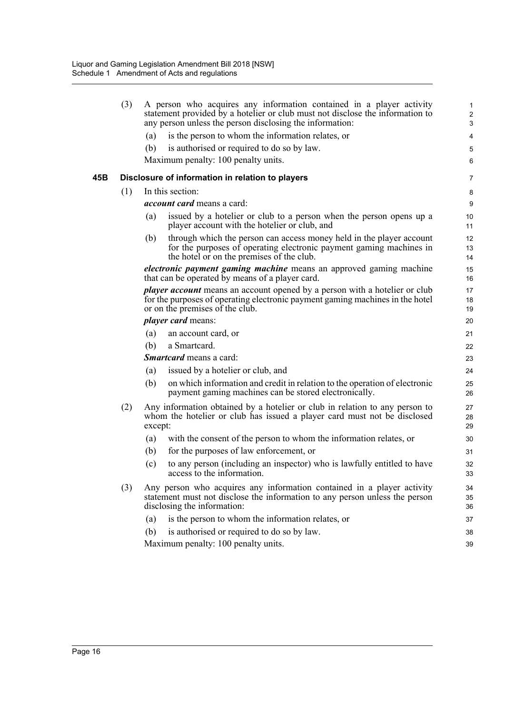|     | (3) |         | A person who acquires any information contained in a player activity<br>statement provided by a hotelier or club must not disclose the information to<br>any person unless the person disclosing the information: | $\mathbf{1}$<br>$\overline{\mathbf{c}}$<br>$\mathsf 3$ |
|-----|-----|---------|-------------------------------------------------------------------------------------------------------------------------------------------------------------------------------------------------------------------|--------------------------------------------------------|
|     |     | (a)     | is the person to whom the information relates, or                                                                                                                                                                 | 4                                                      |
|     |     | (b)     | is authorised or required to do so by law.                                                                                                                                                                        | 5                                                      |
|     |     |         | Maximum penalty: 100 penalty units.                                                                                                                                                                               | 6                                                      |
| 45B |     |         | Disclosure of information in relation to players                                                                                                                                                                  | 7                                                      |
|     | (1) |         | In this section:                                                                                                                                                                                                  | 8                                                      |
|     |     |         | <i>account card</i> means a card:                                                                                                                                                                                 | 9                                                      |
|     |     | (a)     | issued by a hotelier or club to a person when the person opens up a<br>player account with the hotelier or club, and                                                                                              | 10<br>11                                               |
|     |     | (b)     | through which the person can access money held in the player account<br>for the purposes of operating electronic payment gaming machines in<br>the hotel or on the premises of the club.                          | 12<br>13<br>14                                         |
|     |     |         | <i>electronic payment gaming machine</i> means an approved gaming machine<br>that can be operated by means of a player card.                                                                                      | 15<br>16                                               |
|     |     |         | <i>player account</i> means an account opened by a person with a hotelier or club<br>for the purposes of operating electronic payment gaming machines in the hotel<br>or on the premises of the club.             | 17<br>18<br>19                                         |
|     |     |         | <i>player card means:</i>                                                                                                                                                                                         | 20                                                     |
|     |     | (a)     | an account card, or                                                                                                                                                                                               | 21                                                     |
|     |     | (b)     | a Smartcard.                                                                                                                                                                                                      | 22                                                     |
|     |     |         | <b><i>Smartcard</i></b> means a card:                                                                                                                                                                             | 23                                                     |
|     |     | (a)     | issued by a hotelier or club, and                                                                                                                                                                                 | 24                                                     |
|     |     | (b)     | on which information and credit in relation to the operation of electronic<br>payment gaming machines can be stored electronically.                                                                               | 25<br>26                                               |
|     | (2) | except: | Any information obtained by a hotelier or club in relation to any person to<br>whom the hotelier or club has issued a player card must not be disclosed                                                           | 27<br>28<br>29                                         |
|     |     | (a)     | with the consent of the person to whom the information relates, or                                                                                                                                                | 30                                                     |
|     |     | (b)     | for the purposes of law enforcement, or                                                                                                                                                                           | 31                                                     |
|     |     | (c)     | to any person (including an inspector) who is lawfully entitled to have<br>access to the information.                                                                                                             | 32<br>33                                               |
|     | (3) |         | Any person who acquires any information contained in a player activity<br>statement must not disclose the information to any person unless the person<br>disclosing the information:                              | 34<br>35<br>36                                         |
|     |     | (a)     | is the person to whom the information relates, or                                                                                                                                                                 | 37                                                     |
|     |     | (b)     | is authorised or required to do so by law.                                                                                                                                                                        | 38                                                     |
|     |     |         | Maximum penalty: 100 penalty units.                                                                                                                                                                               | 39                                                     |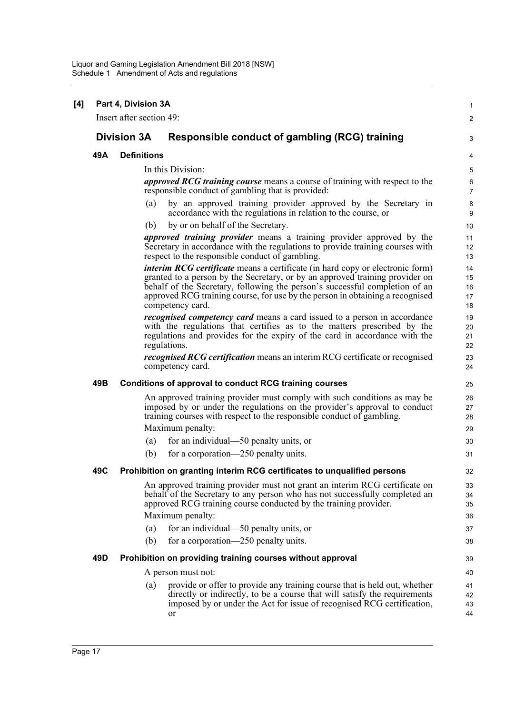|     | Part 4, Division 3A<br>Insert after section 49: |                                                                                                                                                                                                                                                                                                                                                          |  |
|-----|-------------------------------------------------|----------------------------------------------------------------------------------------------------------------------------------------------------------------------------------------------------------------------------------------------------------------------------------------------------------------------------------------------------------|--|
|     |                                                 |                                                                                                                                                                                                                                                                                                                                                          |  |
|     | <b>Division 3A</b>                              | Responsible conduct of gambling (RCG) training                                                                                                                                                                                                                                                                                                           |  |
| 49A | <b>Definitions</b>                              |                                                                                                                                                                                                                                                                                                                                                          |  |
|     |                                                 | In this Division:                                                                                                                                                                                                                                                                                                                                        |  |
|     |                                                 | <i>approved RCG training course</i> means a course of training with respect to the<br>responsible conduct of gambling that is provided:                                                                                                                                                                                                                  |  |
|     | (a)                                             | by an approved training provider approved by the Secretary in<br>accordance with the regulations in relation to the course, or                                                                                                                                                                                                                           |  |
|     | (b)                                             | by or on behalf of the Secretary.                                                                                                                                                                                                                                                                                                                        |  |
|     |                                                 | <i>approved training provider</i> means a training provider approved by the<br>Secretary in accordance with the regulations to provide training courses with<br>respect to the responsible conduct of gambling.                                                                                                                                          |  |
|     |                                                 | <i>interim RCG certificate</i> means a certificate (in hard copy or electronic form)<br>granted to a person by the Secretary, or by an approved training provider on<br>behalf of the Secretary, following the person's successful completion of an<br>approved RCG training course, for use by the person in obtaining a recognised<br>competency card. |  |
|     |                                                 | <i>recognised competency card</i> means a card issued to a person in accordance<br>with the regulations that certifies as to the matters prescribed by the<br>regulations and provides for the expiry of the card in accordance with the<br>regulations.                                                                                                 |  |
|     |                                                 | <i>recognised RCG certification</i> means an interim RCG certificate or recognised<br>competency card.                                                                                                                                                                                                                                                   |  |
| 49B |                                                 | Conditions of approval to conduct RCG training courses                                                                                                                                                                                                                                                                                                   |  |
|     |                                                 | An approved training provider must comply with such conditions as may be<br>imposed by or under the regulations on the provider's approval to conduct<br>training courses with respect to the responsible conduct of gambling.                                                                                                                           |  |
|     |                                                 | Maximum penalty:                                                                                                                                                                                                                                                                                                                                         |  |
|     | (a)                                             | for an individual—50 penalty units, or                                                                                                                                                                                                                                                                                                                   |  |
|     | (b)                                             | for a corporation—250 penalty units.                                                                                                                                                                                                                                                                                                                     |  |
| 49C |                                                 | Prohibition on granting interim RCG certificates to unqualified persons                                                                                                                                                                                                                                                                                  |  |
|     |                                                 | An approved training provider must not grant an interim RCG certificate on<br>behalf of the Secretary to any person who has not successfully completed an<br>approved RCG training course conducted by the training provider.                                                                                                                            |  |
|     |                                                 | Maximum penalty:                                                                                                                                                                                                                                                                                                                                         |  |
|     | (a)                                             | for an individual—50 penalty units, or                                                                                                                                                                                                                                                                                                                   |  |
|     | (b)                                             | for a corporation—250 penalty units.                                                                                                                                                                                                                                                                                                                     |  |
| 49D |                                                 | Prohibition on providing training courses without approval                                                                                                                                                                                                                                                                                               |  |
|     |                                                 | A person must not:                                                                                                                                                                                                                                                                                                                                       |  |
|     | (a)                                             | provide or offer to provide any training course that is held out, whether<br>directly or indirectly, to be a course that will satisfy the requirements<br>imposed by or under the Act for issue of recognised RCG certification,<br>or                                                                                                                   |  |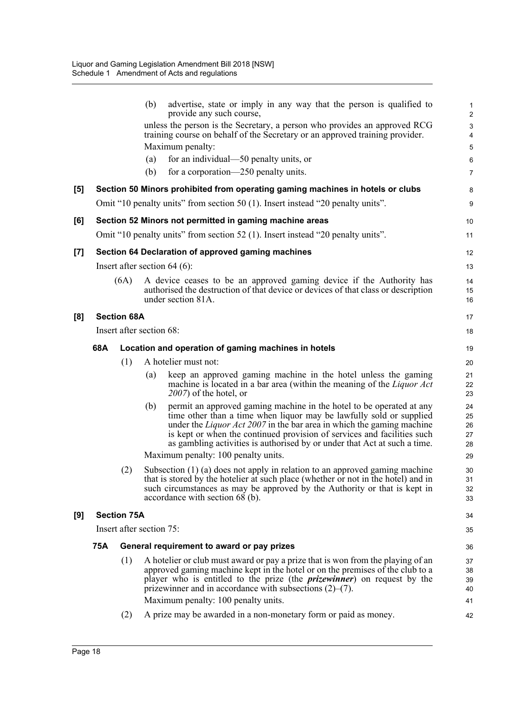|                  |            |                          | (b) | advertise, state or imply in any way that the person is qualified to<br>provide any such course,                                                                                                                                                                                                                                                                                    | 2                                |
|------------------|------------|--------------------------|-----|-------------------------------------------------------------------------------------------------------------------------------------------------------------------------------------------------------------------------------------------------------------------------------------------------------------------------------------------------------------------------------------|----------------------------------|
|                  |            |                          |     | unless the person is the Secretary, a person who provides an approved RCG<br>training course on behalf of the Secretary or an approved training provider.                                                                                                                                                                                                                           | З                                |
|                  |            |                          |     | Maximum penalty:                                                                                                                                                                                                                                                                                                                                                                    | 5                                |
|                  |            |                          | (a) | for an individual—50 penalty units, or                                                                                                                                                                                                                                                                                                                                              | Е                                |
|                  |            |                          | (b) | for a corporation-250 penalty units.                                                                                                                                                                                                                                                                                                                                                | 7                                |
| $\left[5\right]$ |            |                          |     | Section 50 Minors prohibited from operating gaming machines in hotels or clubs                                                                                                                                                                                                                                                                                                      | ε                                |
|                  |            |                          |     | Omit "10 penalty units" from section 50 (1). Insert instead "20 penalty units".                                                                                                                                                                                                                                                                                                     | ç                                |
| [6]              |            |                          |     | Section 52 Minors not permitted in gaming machine areas                                                                                                                                                                                                                                                                                                                             | 10                               |
|                  |            |                          |     | Omit "10 penalty units" from section 52 (1). Insert instead "20 penalty units".                                                                                                                                                                                                                                                                                                     | 11                               |
| [7]              |            |                          |     | Section 64 Declaration of approved gaming machines                                                                                                                                                                                                                                                                                                                                  | 12                               |
|                  |            |                          |     | Insert after section $64(6)$ :                                                                                                                                                                                                                                                                                                                                                      | 13                               |
|                  |            | (6A)                     |     | A device ceases to be an approved gaming device if the Authority has<br>authorised the destruction of that device or devices of that class or description<br>under section 81A.                                                                                                                                                                                                     | 14<br>15<br>16                   |
| [8]              |            | <b>Section 68A</b>       |     |                                                                                                                                                                                                                                                                                                                                                                                     | 17                               |
|                  |            | Insert after section 68: |     |                                                                                                                                                                                                                                                                                                                                                                                     | 18                               |
|                  | 68A        |                          |     | Location and operation of gaming machines in hotels                                                                                                                                                                                                                                                                                                                                 | 1 <sup>c</sup>                   |
|                  |            | (1)                      |     | A hotelier must not:                                                                                                                                                                                                                                                                                                                                                                | 20                               |
|                  |            |                          | (a) | keep an approved gaming machine in the hotel unless the gaming<br>machine is located in a bar area (within the meaning of the <i>Liquor Act</i><br>$2007$ ) of the hotel, or                                                                                                                                                                                                        | 21<br>22<br>23                   |
|                  |            |                          | (b) | permit an approved gaming machine in the hotel to be operated at any<br>time other than a time when liquor may be lawfully sold or supplied<br>under the <i>Liquor Act 2007</i> in the bar area in which the gaming machine<br>is kept or when the continued provision of services and facilities such<br>as gambling activities is authorised by or under that Act at such a time. | 24<br>25<br>26<br>27<br>28       |
|                  |            |                          |     | Maximum penalty: 100 penalty units.                                                                                                                                                                                                                                                                                                                                                 | 29                               |
|                  |            | (2)                      |     | Subsection $(1)$ (a) does not apply in relation to an approved gaming machine<br>that is stored by the hotelier at such place (whether or not in the hotel) and in<br>such circumstances as may be approved by the Authority or that is kept in<br>accordance with section 68 (b).                                                                                                  | 3 <sub>C</sub><br>31<br>32<br>33 |
| [9]              |            | <b>Section 75A</b>       |     |                                                                                                                                                                                                                                                                                                                                                                                     | 34                               |
|                  |            | Insert after section 75: |     |                                                                                                                                                                                                                                                                                                                                                                                     | 35                               |
|                  | <b>75A</b> |                          |     | General requirement to award or pay prizes                                                                                                                                                                                                                                                                                                                                          | 36                               |
|                  |            | (1)                      |     | A hotelier or club must award or pay a prize that is won from the playing of an<br>approved gaming machine kept in the hotel or on the premises of the club to a<br>player who is entitled to the prize (the <i>prizewinner</i> ) on request by the<br>prizewinner and in accordance with subsections $(2)$ – $(7)$ .                                                               | 37<br>38<br>39<br>40             |
|                  |            |                          |     | Maximum penalty: 100 penalty units.                                                                                                                                                                                                                                                                                                                                                 | 41                               |
|                  |            | (2)                      |     | A prize may be awarded in a non-monetary form or paid as money.                                                                                                                                                                                                                                                                                                                     | 42                               |
|                  |            |                          |     |                                                                                                                                                                                                                                                                                                                                                                                     |                                  |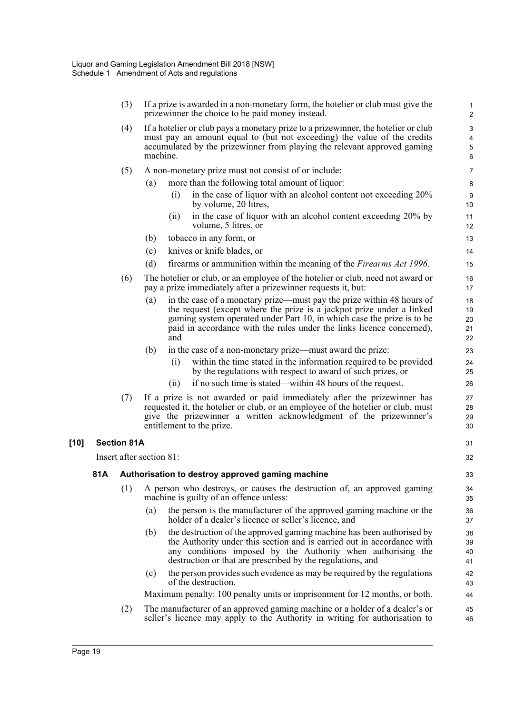|        |     | (3)                      | If a prize is awarded in a non-monetary form, the hotelier or club must give the<br>prizewinner the choice to be paid money instead.                                                                                                                                                                            | 1<br>$\boldsymbol{2}$      |
|--------|-----|--------------------------|-----------------------------------------------------------------------------------------------------------------------------------------------------------------------------------------------------------------------------------------------------------------------------------------------------------------|----------------------------|
|        |     | (4)                      | If a hotelier or club pays a monetary prize to a prizewinner, the hotelier or club<br>must pay an amount equal to (but not exceeding) the value of the credits<br>accumulated by the prizewinner from playing the relevant approved gaming<br>machine.                                                          | 3<br>4<br>$\mathbf 5$<br>6 |
|        |     | (5)                      | A non-monetary prize must not consist of or include:                                                                                                                                                                                                                                                            | $\overline{7}$             |
|        |     |                          | more than the following total amount of liquor:<br>(a)                                                                                                                                                                                                                                                          | $\bf 8$                    |
|        |     |                          | in the case of liquor with an alcohol content not exceeding 20%<br>(i)<br>by volume, 20 litres,                                                                                                                                                                                                                 | 9<br>10                    |
|        |     |                          | in the case of liquor with an alcohol content exceeding 20% by<br>(11)<br>volume, 5 litres, or                                                                                                                                                                                                                  | 11<br>12                   |
|        |     |                          | tobacco in any form, or<br>(b)                                                                                                                                                                                                                                                                                  | 13                         |
|        |     |                          | knives or knife blades, or<br>(c)                                                                                                                                                                                                                                                                               | 14                         |
|        |     |                          | (d)<br>firearms or ammunition within the meaning of the <i>Firearms Act 1996</i> .                                                                                                                                                                                                                              | 15                         |
|        |     | (6)                      | The hotelier or club, or an employee of the hotelier or club, need not award or<br>pay a prize immediately after a prizewinner requests it, but:                                                                                                                                                                | 16<br>17                   |
|        |     |                          | (a)<br>in the case of a monetary prize—must pay the prize within 48 hours of<br>the request (except where the prize is a jackpot prize under a linked<br>gaming system operated under Part 10, in which case the prize is to be<br>paid in accordance with the rules under the links licence concerned),<br>and | 18<br>19<br>20<br>21<br>22 |
|        |     |                          | (b)<br>in the case of a non-monetary prize—must award the prize:                                                                                                                                                                                                                                                | 23                         |
|        |     |                          | within the time stated in the information required to be provided<br>(i)<br>by the regulations with respect to award of such prizes, or                                                                                                                                                                         | 24<br>25                   |
|        |     |                          | if no such time is stated—within 48 hours of the request.<br>(i)                                                                                                                                                                                                                                                | 26                         |
|        |     | (7)                      | If a prize is not awarded or paid immediately after the prizewinner has<br>requested it, the hotelier or club, or an employee of the hotelier or club, must<br>give the prizewinner a written acknowledgment of the prizewinner's<br>entitlement to the prize.                                                  | 27<br>28<br>29<br>30       |
| $[10]$ |     | <b>Section 81A</b>       |                                                                                                                                                                                                                                                                                                                 | 31                         |
|        |     | Insert after section 81: |                                                                                                                                                                                                                                                                                                                 |                            |
|        | 81A |                          | Authorisation to destroy approved gaming machine                                                                                                                                                                                                                                                                | 33                         |
|        |     | (1)                      | A person who destroys, or causes the destruction of, an approved gaming<br>machine is guilty of an offence unless:                                                                                                                                                                                              | 34<br>35                   |
|        |     |                          | the person is the manufacturer of the approved gaming machine or the<br>(a)<br>holder of a dealer's licence or seller's licence, and                                                                                                                                                                            | 36<br>37                   |
|        |     |                          | the destruction of the approved gaming machine has been authorised by<br>(b)<br>the Authority under this section and is carried out in accordance with<br>any conditions imposed by the Authority when authorising the<br>destruction or that are prescribed by the regulations, and                            | 38<br>39<br>40<br>41       |
|        |     |                          | the person provides such evidence as may be required by the regulations<br>(c)<br>of the destruction.                                                                                                                                                                                                           | 42<br>43                   |
|        |     |                          | Maximum penalty: 100 penalty units or imprisonment for 12 months, or both.                                                                                                                                                                                                                                      | 44                         |
|        |     | (2)                      | The manufacturer of an approved gaming machine or a holder of a dealer's or<br>seller's licence may apply to the Authority in writing for authorisation to                                                                                                                                                      | 45<br>46                   |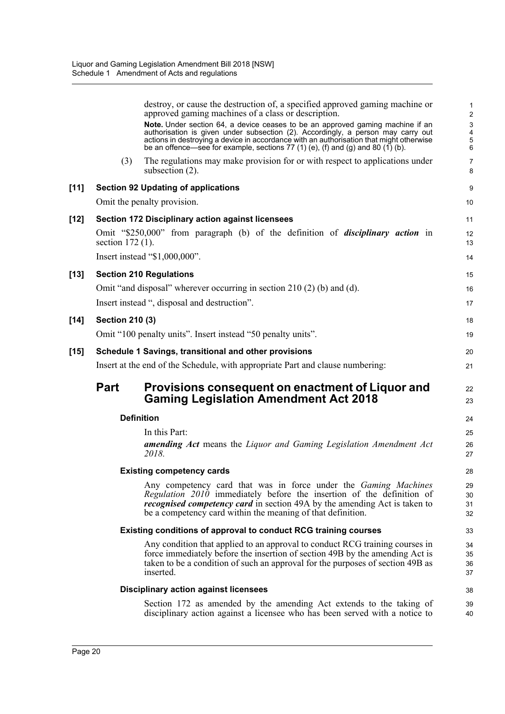|        |                        | destroy, or cause the destruction of, a specified approved gaming machine or<br>approved gaming machines of a class or description.                                                                                                                                                                                                              | 1<br>$\sqrt{2}$                   |
|--------|------------------------|--------------------------------------------------------------------------------------------------------------------------------------------------------------------------------------------------------------------------------------------------------------------------------------------------------------------------------------------------|-----------------------------------|
|        |                        | Note. Under section 64, a device ceases to be an approved gaming machine if an<br>authorisation is given under subsection (2). Accordingly, a person may carry out<br>actions in destroying a device in accordance with an authorisation that might otherwise<br>be an offence—see for example, sections 77 (1) (e), (f) and (g) and 80 (1) (b). | $\mathsf 3$<br>$\frac{4}{5}$<br>6 |
|        | (3)                    | The regulations may make provision for or with respect to applications under<br>subsection $(2)$ .                                                                                                                                                                                                                                               | $\overline{7}$<br>8               |
| $[11]$ |                        | <b>Section 92 Updating of applications</b>                                                                                                                                                                                                                                                                                                       | 9                                 |
|        |                        | Omit the penalty provision.                                                                                                                                                                                                                                                                                                                      | 10                                |
| $[12]$ |                        | <b>Section 172 Disciplinary action against licensees</b>                                                                                                                                                                                                                                                                                         | 11                                |
|        | section $172(1)$ .     | Omit "\$250,000" from paragraph (b) of the definition of <i>disciplinary action</i> in                                                                                                                                                                                                                                                           | 12<br>13                          |
|        |                        | Insert instead "\$1,000,000".                                                                                                                                                                                                                                                                                                                    | 14                                |
| $[13]$ |                        | <b>Section 210 Regulations</b>                                                                                                                                                                                                                                                                                                                   | 15                                |
|        |                        | Omit "and disposal" wherever occurring in section $210(2)$ (b) and (d).                                                                                                                                                                                                                                                                          | 16                                |
|        |                        | Insert instead ", disposal and destruction".                                                                                                                                                                                                                                                                                                     | 17                                |
| $[14]$ | <b>Section 210 (3)</b> |                                                                                                                                                                                                                                                                                                                                                  | 18                                |
|        |                        | Omit "100 penalty units". Insert instead "50 penalty units".                                                                                                                                                                                                                                                                                     | 19                                |
| $[15]$ |                        | Schedule 1 Savings, transitional and other provisions                                                                                                                                                                                                                                                                                            | 20                                |
|        |                        | Insert at the end of the Schedule, with appropriate Part and clause numbering:                                                                                                                                                                                                                                                                   | 21                                |
|        | <b>Part</b>            | Provisions consequent on enactment of Liquor and<br><b>Gaming Legislation Amendment Act 2018</b>                                                                                                                                                                                                                                                 | 22<br>23                          |
|        |                        | <b>Definition</b>                                                                                                                                                                                                                                                                                                                                | 24                                |
|        |                        | In this Part:                                                                                                                                                                                                                                                                                                                                    | 25                                |
|        |                        |                                                                                                                                                                                                                                                                                                                                                  |                                   |
|        |                        | <b>amending Act</b> means the Liquor and Gaming Legislation Amendment Act<br>2018.                                                                                                                                                                                                                                                               | 26<br>27                          |
|        |                        | <b>Existing competency cards</b>                                                                                                                                                                                                                                                                                                                 | 28                                |
|        |                        | Any competency card that was in force under the Gaming Machines<br>Regulation 2010 immediately before the insertion of the definition of<br><i>recognised competency card</i> in section 49A by the amending Act is taken to<br>be a competency card within the meaning of that definition.                                                      | 29<br>30<br>31<br>32              |
|        |                        | <b>Existing conditions of approval to conduct RCG training courses</b>                                                                                                                                                                                                                                                                           | 33                                |
|        |                        | Any condition that applied to an approval to conduct RCG training courses in<br>force immediately before the insertion of section 49B by the amending Act is<br>taken to be a condition of such an approval for the purposes of section 49B as<br>inserted.                                                                                      | 34<br>35<br>36<br>37              |
|        |                        | <b>Disciplinary action against licensees</b>                                                                                                                                                                                                                                                                                                     | 38                                |
|        |                        | Section 172 as amended by the amending Act extends to the taking of<br>disciplinary action against a licensee who has been served with a notice to                                                                                                                                                                                               | 39<br>40                          |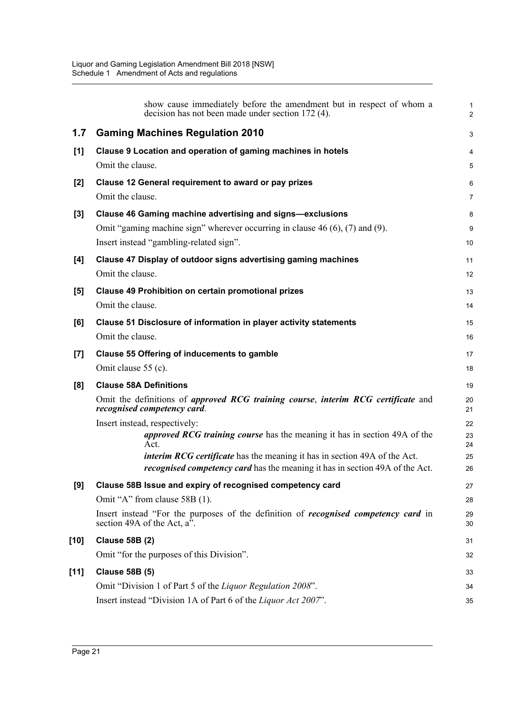|                    | show cause immediately before the amendment but in respect of whom a<br>decision has not been made under section 172 (4).         | $\mathbf{1}$<br>2 |
|--------------------|-----------------------------------------------------------------------------------------------------------------------------------|-------------------|
| 1.7                | <b>Gaming Machines Regulation 2010</b>                                                                                            | 3                 |
| [1]                | Clause 9 Location and operation of gaming machines in hotels                                                                      | 4                 |
|                    | Omit the clause.                                                                                                                  | 5                 |
| [2]                | Clause 12 General requirement to award or pay prizes                                                                              | 6                 |
|                    | Omit the clause.                                                                                                                  | $\overline{7}$    |
| [3]                | <b>Clause 46 Gaming machine advertising and signs-exclusions</b>                                                                  | 8                 |
|                    | Omit "gaming machine sign" wherever occurring in clause $46(6)$ , $(7)$ and $(9)$ .                                               | 9                 |
|                    | Insert instead "gambling-related sign".                                                                                           | 10                |
| [4]                | Clause 47 Display of outdoor signs advertising gaming machines                                                                    | 11                |
|                    | Omit the clause.                                                                                                                  | 12                |
| [5]                | <b>Clause 49 Prohibition on certain promotional prizes</b>                                                                        | 13                |
|                    | Omit the clause.                                                                                                                  | 14                |
| [6]                | Clause 51 Disclosure of information in player activity statements<br>Omit the clause.                                             | 15                |
|                    |                                                                                                                                   | 16                |
| $\left[ 7 \right]$ | <b>Clause 55 Offering of inducements to gamble</b><br>Omit clause 55 (c).                                                         | 17                |
|                    |                                                                                                                                   | 18                |
| [8]                | <b>Clause 58A Definitions</b><br>Omit the definitions of <i>approved RCG training course</i> , <i>interim RCG certificate</i> and | 19                |
|                    | recognised competency card.                                                                                                       | 20<br>21          |
|                    | Insert instead, respectively:                                                                                                     | 22                |
|                    | <i>approved RCG training course</i> has the meaning it has in section 49A of the<br>Act.                                          | 23<br>24          |
|                    | <i>interim RCG certificate</i> has the meaning it has in section 49A of the Act.                                                  | 25                |
|                    | <i>recognised competency card</i> has the meaning it has in section 49A of the Act.                                               | 26                |
| [9]                | Clause 58B Issue and expiry of recognised competency card                                                                         | 27                |
|                    | Omit "A" from clause 58B (1).                                                                                                     | 28                |
|                    | Insert instead "For the purposes of the definition of <i>recognised competency card</i> in<br>section 49A of the Act, $a^7$ .     | 29<br>30          |
| [10]               | <b>Clause 58B (2)</b>                                                                                                             | 31                |
|                    | Omit "for the purposes of this Division".                                                                                         | 32                |
| $[11]$             | <b>Clause 58B (5)</b>                                                                                                             | 33                |
|                    | Omit "Division 1 of Part 5 of the Liquor Regulation 2008".                                                                        | 34                |
|                    | Insert instead "Division 1A of Part 6 of the Liquor Act 2007".                                                                    | 35                |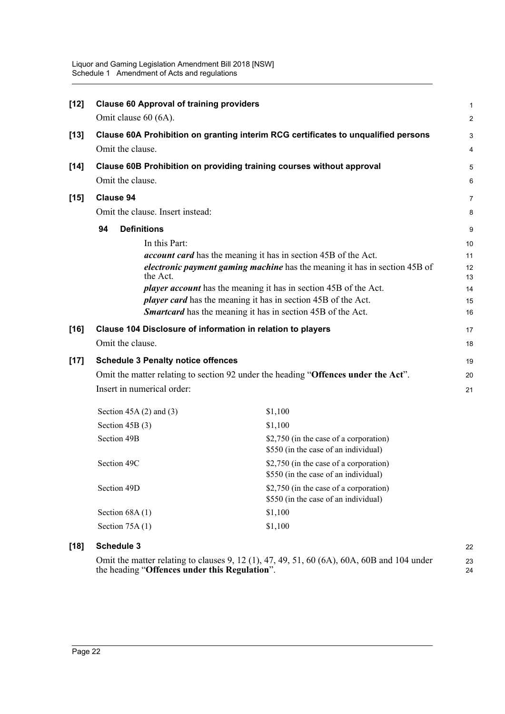| $[12]$ | <b>Clause 60 Approval of training providers</b>                                    |                                                                                    |                |  |  |  |  |  |
|--------|------------------------------------------------------------------------------------|------------------------------------------------------------------------------------|----------------|--|--|--|--|--|
|        | Omit clause 60 (6A).                                                               |                                                                                    | $\overline{c}$ |  |  |  |  |  |
| $[13]$ | Clause 60A Prohibition on granting interim RCG certificates to unqualified persons |                                                                                    |                |  |  |  |  |  |
|        | Omit the clause.                                                                   |                                                                                    |                |  |  |  |  |  |
| $[14]$ |                                                                                    | Clause 60B Prohibition on providing training courses without approval              | 5              |  |  |  |  |  |
|        | Omit the clause.                                                                   |                                                                                    | 6              |  |  |  |  |  |
| $[15]$ | <b>Clause 94</b>                                                                   |                                                                                    | 7              |  |  |  |  |  |
|        | Omit the clause. Insert instead:                                                   |                                                                                    | 8              |  |  |  |  |  |
|        | <b>Definitions</b><br>94                                                           |                                                                                    | 9              |  |  |  |  |  |
|        | In this Part:                                                                      |                                                                                    | 10             |  |  |  |  |  |
|        |                                                                                    | <i>account card</i> has the meaning it has in section 45B of the Act.              | 11             |  |  |  |  |  |
|        | the Act.                                                                           | electronic payment gaming machine has the meaning it has in section 45B of         |                |  |  |  |  |  |
|        |                                                                                    | <i>player account</i> has the meaning it has in section 45B of the Act.            | 14             |  |  |  |  |  |
|        | <i>player card</i> has the meaning it has in section 45B of the Act.               |                                                                                    |                |  |  |  |  |  |
|        |                                                                                    | Smartcard has the meaning it has in section 45B of the Act.                        | 16             |  |  |  |  |  |
| $[16]$ |                                                                                    | Clause 104 Disclosure of information in relation to players                        | 17             |  |  |  |  |  |
|        | Omit the clause.                                                                   |                                                                                    | 18             |  |  |  |  |  |
| $[17]$ | <b>Schedule 3 Penalty notice offences</b>                                          |                                                                                    | 19             |  |  |  |  |  |
|        |                                                                                    | Omit the matter relating to section 92 under the heading "Offences under the Act". | 20             |  |  |  |  |  |
|        | Insert in numerical order:                                                         |                                                                                    |                |  |  |  |  |  |
|        | Section $45A(2)$ and $(3)$                                                         | \$1,100                                                                            |                |  |  |  |  |  |
|        | Section $45B(3)$                                                                   | \$1,100                                                                            |                |  |  |  |  |  |
|        | Section 49B                                                                        | \$2,750 (in the case of a corporation)<br>\$550 (in the case of an individual)     |                |  |  |  |  |  |
|        | Section 49C                                                                        | \$2,750 (in the case of a corporation)<br>\$550 (in the case of an individual)     |                |  |  |  |  |  |
|        | Section 49D                                                                        | \$2,750 (in the case of a corporation)<br>\$550 (in the case of an individual)     |                |  |  |  |  |  |
|        | Section $68A(1)$                                                                   | \$1,100                                                                            |                |  |  |  |  |  |
|        | Section 75A (1)                                                                    | \$1,100                                                                            |                |  |  |  |  |  |
|        |                                                                                    |                                                                                    |                |  |  |  |  |  |

### **[18] Schedule 3**

Omit the matter relating to clauses 9, 12 (1), 47, 49, 51, 60 (6A), 60A, 60B and 104 under the heading "**Offences under this Regulation**". 23 24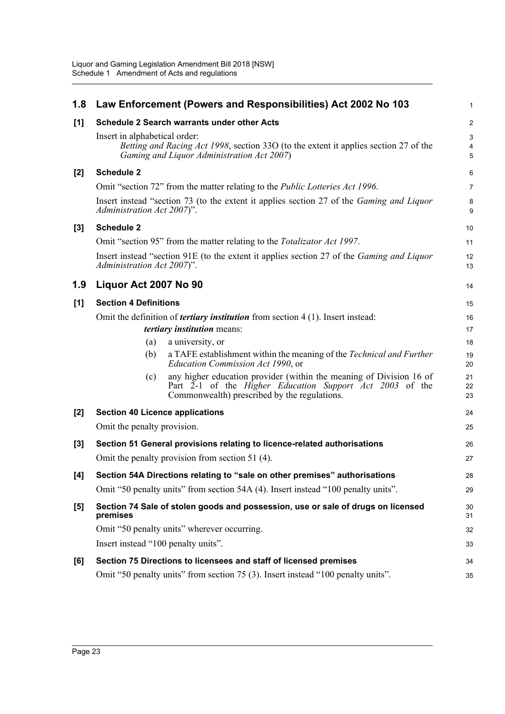| 1.8   | Law Enforcement (Powers and Responsibilities) Act 2002 No 103                                                                                                                          | 1              |
|-------|----------------------------------------------------------------------------------------------------------------------------------------------------------------------------------------|----------------|
| [1]   | <b>Schedule 2 Search warrants under other Acts</b>                                                                                                                                     | $\overline{a}$ |
|       | Insert in alphabetical order:<br>Betting and Racing Act 1998, section 330 (to the extent it applies section 27 of the<br>Gaming and Liquor Administration Act 2007)                    | 3<br>4<br>5    |
| $[2]$ | <b>Schedule 2</b>                                                                                                                                                                      | 6              |
|       | Omit "section 72" from the matter relating to the <i>Public Lotteries Act 1996</i> .                                                                                                   | 7              |
|       | Insert instead "section 73 (to the extent it applies section 27 of the <i>Gaming and Liquor</i><br>Administration Act 2007)".                                                          | 8<br>9         |
| $[3]$ | <b>Schedule 2</b>                                                                                                                                                                      | 10             |
|       | Omit "section 95" from the matter relating to the <i>Totalizator Act 1997</i> .                                                                                                        | 11             |
|       | Insert instead "section 91E (to the extent it applies section 27 of the <i>Gaming and Liquor</i><br>Administration Act 2007)".                                                         | 12<br>13       |
| 1.9   | Liquor Act 2007 No 90                                                                                                                                                                  | 14             |
| [1]   | <b>Section 4 Definitions</b>                                                                                                                                                           | 15             |
|       | Omit the definition of <i>tertiary institution</i> from section $4(1)$ . Insert instead:<br>tertiary institution means:                                                                | 16<br>17       |
|       | (a)<br>a university, or                                                                                                                                                                | 18             |
|       | a TAFE establishment within the meaning of the Technical and Further<br>(b)<br>Education Commission Act 1990, or                                                                       | 19<br>20       |
|       | any higher education provider (within the meaning of Division 16 of<br>(c)<br>Part 2-1 of the Higher Education Support Act 2003 of the<br>Commonwealth) prescribed by the regulations. | 21<br>22<br>23 |
| $[2]$ | <b>Section 40 Licence applications</b>                                                                                                                                                 | 24             |
|       | Omit the penalty provision.                                                                                                                                                            | 25             |
| $[3]$ | Section 51 General provisions relating to licence-related authorisations                                                                                                               | 26             |
|       | Omit the penalty provision from section 51 (4).                                                                                                                                        | 27             |
| [4]   | Section 54A Directions relating to "sale on other premises" authorisations                                                                                                             | 28             |
|       | Omit "50 penalty units" from section 54A (4). Insert instead "100 penalty units".                                                                                                      | 29             |
| [5]   | Section 74 Sale of stolen goods and possession, use or sale of drugs on licensed<br>premises                                                                                           | 30<br>31       |
|       | Omit "50 penalty units" wherever occurring.                                                                                                                                            | 32             |
|       | Insert instead "100 penalty units".                                                                                                                                                    | 33             |
| [6]   | Section 75 Directions to licensees and staff of licensed premises                                                                                                                      | 34             |
|       | Omit "50 penalty units" from section 75 (3). Insert instead "100 penalty units".                                                                                                       | 35             |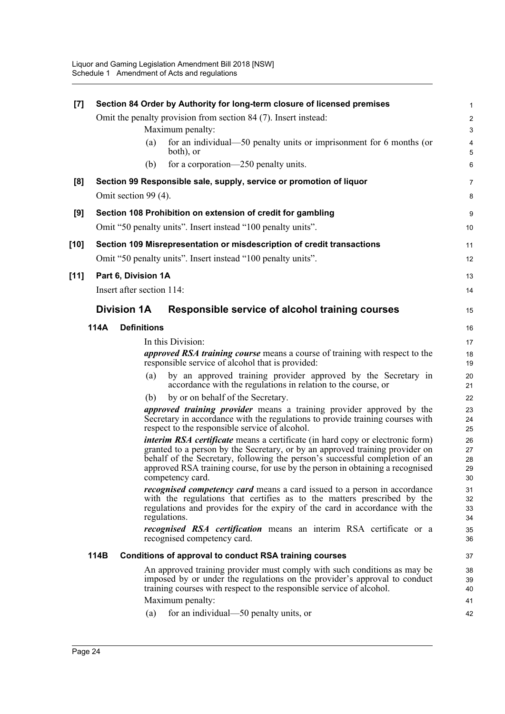| [7]    | Section 84 Order by Authority for long-term closure of licensed premises |                           |                                                                                                                                                                                                                                                                                                                                                          |                                |  |  |
|--------|--------------------------------------------------------------------------|---------------------------|----------------------------------------------------------------------------------------------------------------------------------------------------------------------------------------------------------------------------------------------------------------------------------------------------------------------------------------------------------|--------------------------------|--|--|
|        |                                                                          |                           | Omit the penalty provision from section 84 (7). Insert instead:                                                                                                                                                                                                                                                                                          | $\boldsymbol{2}$               |  |  |
|        |                                                                          |                           | Maximum penalty:                                                                                                                                                                                                                                                                                                                                         | $\ensuremath{\mathsf{3}}$      |  |  |
|        |                                                                          | (a)                       | for an individual—50 penalty units or imprisonment for 6 months (or<br>both), or                                                                                                                                                                                                                                                                         | 4<br>5                         |  |  |
|        |                                                                          | (b)                       | for a corporation—250 penalty units.                                                                                                                                                                                                                                                                                                                     | 6                              |  |  |
| [8]    |                                                                          |                           | Section 99 Responsible sale, supply, service or promotion of liquor                                                                                                                                                                                                                                                                                      | $\overline{7}$                 |  |  |
|        |                                                                          | Omit section 99 (4).      |                                                                                                                                                                                                                                                                                                                                                          | 8                              |  |  |
| [9]    |                                                                          |                           | Section 108 Prohibition on extension of credit for gambling                                                                                                                                                                                                                                                                                              | $\boldsymbol{9}$               |  |  |
|        |                                                                          |                           | Omit "50 penalty units". Insert instead "100 penalty units".                                                                                                                                                                                                                                                                                             | 10                             |  |  |
| $[10]$ |                                                                          |                           | Section 109 Misrepresentation or misdescription of credit transactions                                                                                                                                                                                                                                                                                   | 11                             |  |  |
|        |                                                                          |                           | Omit "50 penalty units". Insert instead "100 penalty units".                                                                                                                                                                                                                                                                                             | 12                             |  |  |
| [11]   |                                                                          | Part 6, Division 1A       |                                                                                                                                                                                                                                                                                                                                                          | 13                             |  |  |
|        |                                                                          | Insert after section 114: |                                                                                                                                                                                                                                                                                                                                                          | 14                             |  |  |
|        | <b>Division 1A</b>                                                       |                           | Responsible service of alcohol training courses                                                                                                                                                                                                                                                                                                          | 15                             |  |  |
|        |                                                                          | <b>Definitions</b>        |                                                                                                                                                                                                                                                                                                                                                          |                                |  |  |
|        | 114A                                                                     |                           |                                                                                                                                                                                                                                                                                                                                                          | 16                             |  |  |
|        |                                                                          |                           | In this Division:                                                                                                                                                                                                                                                                                                                                        | 17                             |  |  |
|        |                                                                          |                           | <i>approved RSA training course</i> means a course of training with respect to the<br>responsible service of alcohol that is provided:                                                                                                                                                                                                                   | 18<br>19                       |  |  |
|        |                                                                          | (a)                       | by an approved training provider approved by the Secretary in<br>accordance with the regulations in relation to the course, or                                                                                                                                                                                                                           | 20<br>21                       |  |  |
|        |                                                                          | (b)                       | by or on behalf of the Secretary.                                                                                                                                                                                                                                                                                                                        | 22                             |  |  |
|        |                                                                          |                           | approved training provider means a training provider approved by the<br>Secretary in accordance with the regulations to provide training courses with<br>respect to the responsible service of alcohol.                                                                                                                                                  | 23<br>24<br>25                 |  |  |
|        |                                                                          |                           | <i>interim RSA certificate</i> means a certificate (in hard copy or electronic form)<br>granted to a person by the Secretary, or by an approved training provider on<br>behalf of the Secretary, following the person's successful completion of an<br>approved RSA training course, for use by the person in obtaining a recognised<br>competency card. | 26<br>27<br>28<br>29<br>$30\,$ |  |  |
|        |                                                                          |                           | <i>recognised competency card</i> means a card issued to a person in accordance<br>with the regulations that certifies as to the matters prescribed by the<br>regulations and provides for the expiry of the card in accordance with the<br>regulations.                                                                                                 | 31<br>32<br>33<br>34           |  |  |
|        |                                                                          |                           | <i>recognised RSA certification</i> means an interim RSA certificate or a<br>recognised competency card.                                                                                                                                                                                                                                                 | 35<br>36                       |  |  |
|        | 114B                                                                     |                           | Conditions of approval to conduct RSA training courses                                                                                                                                                                                                                                                                                                   | 37                             |  |  |
|        |                                                                          |                           | An approved training provider must comply with such conditions as may be<br>imposed by or under the regulations on the provider's approval to conduct<br>training courses with respect to the responsible service of alcohol.<br>Maximum penalty:                                                                                                        | 38<br>39<br>40<br>41           |  |  |
|        |                                                                          | (a)                       | for an individual—50 penalty units, or                                                                                                                                                                                                                                                                                                                   | 42                             |  |  |
|        |                                                                          |                           |                                                                                                                                                                                                                                                                                                                                                          |                                |  |  |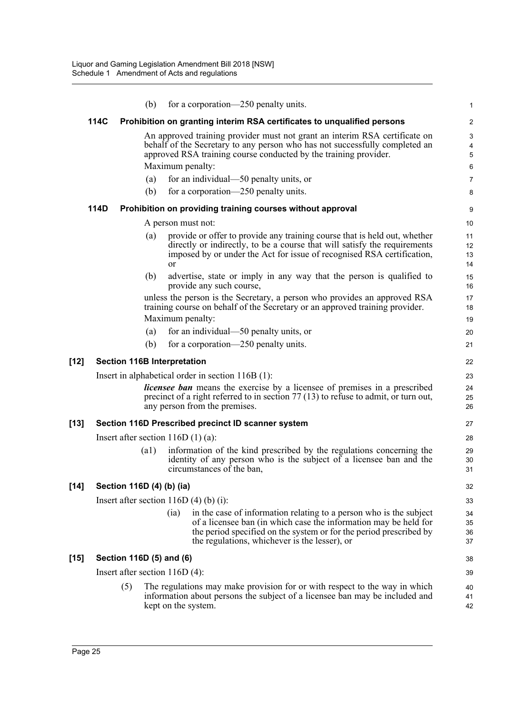|        |      |     | (b)  |                                    | for a corporation—250 penalty units.                                                                                                                                                                                                                                                        | 1                                                                   |
|--------|------|-----|------|------------------------------------|---------------------------------------------------------------------------------------------------------------------------------------------------------------------------------------------------------------------------------------------------------------------------------------------|---------------------------------------------------------------------|
|        | 114C |     |      |                                    | Prohibition on granting interim RSA certificates to unqualified persons                                                                                                                                                                                                                     | $\overline{2}$                                                      |
|        |      |     | (a)  |                                    | An approved training provider must not grant an interim RSA certificate on<br>behalf of the Secretary to any person who has not successfully completed an<br>approved RSA training course conducted by the training provider.<br>Maximum penalty:<br>for an individual—50 penalty units, or | $\ensuremath{\mathsf{3}}$<br>4<br>$\sqrt{5}$<br>6<br>$\overline{7}$ |
|        |      |     | (b)  |                                    | for a corporation—250 penalty units.                                                                                                                                                                                                                                                        | 8                                                                   |
|        | 114D |     |      |                                    | Prohibition on providing training courses without approval                                                                                                                                                                                                                                  | 9                                                                   |
|        |      |     |      |                                    | A person must not:                                                                                                                                                                                                                                                                          | 10                                                                  |
|        |      |     | (a)  | <sub>or</sub>                      | provide or offer to provide any training course that is held out, whether<br>directly or indirectly, to be a course that will satisfy the requirements<br>imposed by or under the Act for issue of recognised RSA certification,                                                            | 11<br>12<br>13<br>14                                                |
|        |      |     | (b)  |                                    | advertise, state or imply in any way that the person is qualified to<br>provide any such course,                                                                                                                                                                                            | 15<br>16                                                            |
|        |      |     |      |                                    | unless the person is the Secretary, a person who provides an approved RSA<br>training course on behalf of the Secretary or an approved training provider.<br>Maximum penalty:                                                                                                               | 17<br>18<br>19                                                      |
|        |      |     | (a)  |                                    | for an individual—50 penalty units, or                                                                                                                                                                                                                                                      | 20                                                                  |
|        |      |     | (b)  |                                    | for a corporation—250 penalty units.                                                                                                                                                                                                                                                        | 21                                                                  |
| [12]   |      |     |      | <b>Section 116B Interpretation</b> |                                                                                                                                                                                                                                                                                             | 22                                                                  |
|        |      |     |      |                                    | Insert in alphabetical order in section $116B(1)$ :                                                                                                                                                                                                                                         | 23                                                                  |
|        |      |     |      |                                    | licensee ban means the exercise by a licensee of premises in a prescribed<br>precinct of a right referred to in section $77(13)$ to refuse to admit, or turn out,<br>any person from the premises.                                                                                          | 24<br>25<br>26                                                      |
| [13]   |      |     |      |                                    | Section 116D Prescribed precinct ID scanner system                                                                                                                                                                                                                                          | 27                                                                  |
|        |      |     |      |                                    | Insert after section $116D(1)(a)$ :                                                                                                                                                                                                                                                         | 28                                                                  |
|        |      |     | (a1) |                                    | information of the kind prescribed by the regulations concerning the<br>identity of any person who is the subject of a licensee ban and the<br>circumstances of the ban,                                                                                                                    | 29<br>30<br>31                                                      |
| $[14]$ |      |     |      | Section 116D (4) (b) (ia)          |                                                                                                                                                                                                                                                                                             | 32                                                                  |
|        |      |     |      |                                    | Insert after section $116D(4)$ (b) (i):                                                                                                                                                                                                                                                     | 33                                                                  |
|        |      |     |      | (ia)                               | in the case of information relating to a person who is the subject<br>of a licensee ban (in which case the information may be held for<br>the period specified on the system or for the period prescribed by<br>the regulations, whichever is the lesser), or                               | 34<br>35<br>36<br>37                                                |
| [15]   |      |     |      | Section 116D (5) and (6)           |                                                                                                                                                                                                                                                                                             | 38                                                                  |
|        |      |     |      | Insert after section $116D(4)$ :   |                                                                                                                                                                                                                                                                                             | 39                                                                  |
|        |      | (5) |      |                                    | The regulations may make provision for or with respect to the way in which<br>information about persons the subject of a licensee ban may be included and<br>kept on the system.                                                                                                            | 40<br>41<br>42                                                      |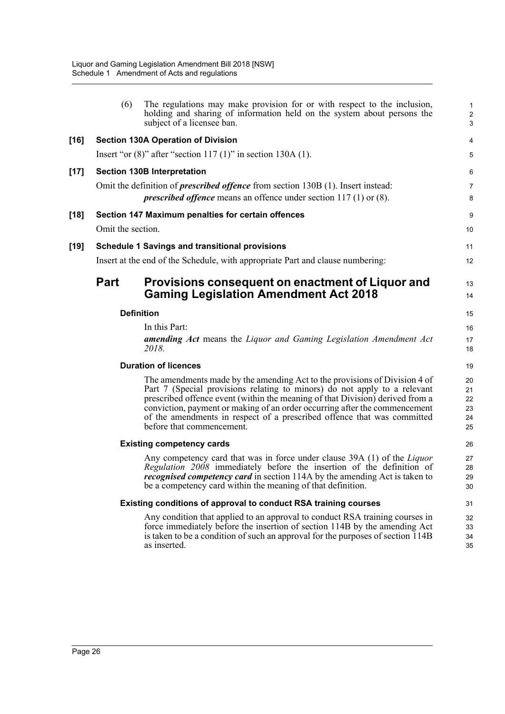|      | (6)               | The regulations may make provision for or with respect to the inclusion,<br>holding and sharing of information held on the system about persons the<br>subject of a licensee ban.                                                                                                                                                                                                                                              | $\mathbf{1}$<br>$\overline{c}$<br>3 |
|------|-------------------|--------------------------------------------------------------------------------------------------------------------------------------------------------------------------------------------------------------------------------------------------------------------------------------------------------------------------------------------------------------------------------------------------------------------------------|-------------------------------------|
| [16] |                   | <b>Section 130A Operation of Division</b>                                                                                                                                                                                                                                                                                                                                                                                      | 4                                   |
|      |                   | Insert "or $(8)$ " after "section 117 $(1)$ " in section 130A $(1)$ .                                                                                                                                                                                                                                                                                                                                                          | 5                                   |
| [17] |                   | <b>Section 130B Interpretation</b>                                                                                                                                                                                                                                                                                                                                                                                             | 6                                   |
|      |                   | Omit the definition of <i>prescribed offence</i> from section 130B (1). Insert instead:<br><i>prescribed offence</i> means an offence under section $117(1)$ or $(8)$ .                                                                                                                                                                                                                                                        | $\overline{7}$<br>8                 |
| [18] | Omit the section. | Section 147 Maximum penalties for certain offences                                                                                                                                                                                                                                                                                                                                                                             | $\boldsymbol{9}$<br>10              |
| [19] |                   | <b>Schedule 1 Savings and transitional provisions</b>                                                                                                                                                                                                                                                                                                                                                                          | 11                                  |
|      |                   | Insert at the end of the Schedule, with appropriate Part and clause numbering:                                                                                                                                                                                                                                                                                                                                                 | 12                                  |
|      | <b>Part</b>       | Provisions consequent on enactment of Liquor and<br><b>Gaming Legislation Amendment Act 2018</b>                                                                                                                                                                                                                                                                                                                               | 13<br>14                            |
|      |                   | <b>Definition</b>                                                                                                                                                                                                                                                                                                                                                                                                              | 15                                  |
|      |                   | In this Part:                                                                                                                                                                                                                                                                                                                                                                                                                  | 16                                  |
|      |                   | <b>amending Act</b> means the Liquor and Gaming Legislation Amendment Act<br>2018.                                                                                                                                                                                                                                                                                                                                             | 17<br>18                            |
|      |                   | <b>Duration of licences</b>                                                                                                                                                                                                                                                                                                                                                                                                    | 19                                  |
|      |                   | The amendments made by the amending Act to the provisions of Division 4 of<br>Part 7 (Special provisions relating to minors) do not apply to a relevant<br>prescribed offence event (within the meaning of that Division) derived from a<br>conviction, payment or making of an order occurring after the commencement<br>of the amendments in respect of a prescribed offence that was committed<br>before that commencement. | 20<br>21<br>22<br>23<br>24<br>25    |
|      |                   | <b>Existing competency cards</b>                                                                                                                                                                                                                                                                                                                                                                                               | 26                                  |
|      |                   | Any competency card that was in force under clause 39A (1) of the Liquor<br>Regulation 2008 immediately before the insertion of the definition of<br><i>recognised competency card</i> in section 114A by the amending Act is taken to<br>be a competency card within the meaning of that definition.                                                                                                                          | 27<br>28<br>29<br>30                |
|      |                   | Existing conditions of approval to conduct RSA training courses                                                                                                                                                                                                                                                                                                                                                                | 31                                  |
|      |                   | Any condition that applied to an approval to conduct RSA training courses in<br>force immediately before the insertion of section 114B by the amending Act<br>is taken to be a condition of such an approval for the purposes of section 114B<br>as inserted.                                                                                                                                                                  | 32<br>33<br>34<br>35                |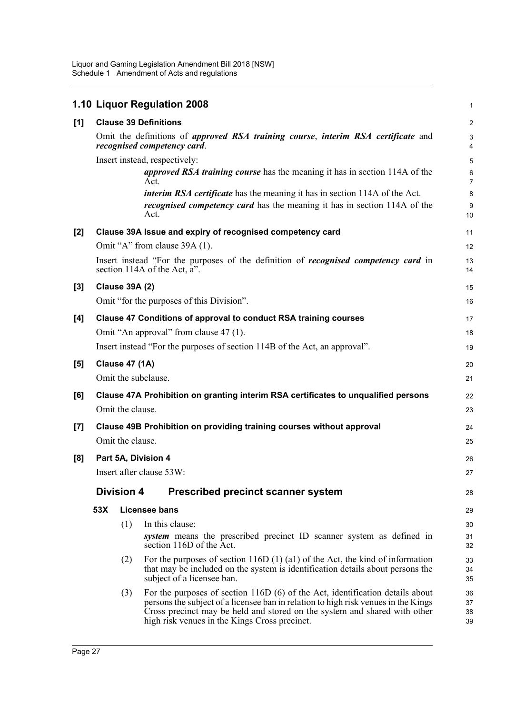|       |     |                       | 1.10 Liquor Regulation 2008                                                                                                                                                                                                                                                                        | 1                       |
|-------|-----|-----------------------|----------------------------------------------------------------------------------------------------------------------------------------------------------------------------------------------------------------------------------------------------------------------------------------------------|-------------------------|
| [1]   |     |                       | <b>Clause 39 Definitions</b>                                                                                                                                                                                                                                                                       | $\overline{\mathbf{c}}$ |
|       |     |                       | Omit the definitions of <i>approved RSA training course</i> , <i>interim RSA certificate</i> and<br>recognised competency card.                                                                                                                                                                    | 3<br>4                  |
|       |     |                       | Insert instead, respectively:<br><i>approved RSA training course</i> has the meaning it has in section 114A of the<br>Act.                                                                                                                                                                         | 5<br>6<br>7             |
|       |     |                       | <i>interim RSA certificate</i> has the meaning it has in section 114A of the Act.<br><i>recognised competency card</i> has the meaning it has in section 114A of the<br>Act.                                                                                                                       | 8<br>9<br>10            |
| $[2]$ |     |                       | Clause 39A Issue and expiry of recognised competency card                                                                                                                                                                                                                                          | 11                      |
|       |     |                       | Omit "A" from clause 39A (1).                                                                                                                                                                                                                                                                      | 12                      |
|       |     |                       | Insert instead "For the purposes of the definition of <i>recognised competency card</i> in<br>section 114A of the Act, a".                                                                                                                                                                         | 13<br>14                |
| $[3]$ |     | <b>Clause 39A (2)</b> |                                                                                                                                                                                                                                                                                                    | 15                      |
|       |     |                       | Omit "for the purposes of this Division".                                                                                                                                                                                                                                                          | 16                      |
| [4]   |     |                       | Clause 47 Conditions of approval to conduct RSA training courses                                                                                                                                                                                                                                   | 17                      |
|       |     |                       | Omit "An approval" from clause 47 (1).                                                                                                                                                                                                                                                             | 18                      |
|       |     |                       | Insert instead "For the purposes of section 114B of the Act, an approval".                                                                                                                                                                                                                         | 19                      |
| [5]   |     | <b>Clause 47 (1A)</b> |                                                                                                                                                                                                                                                                                                    | 20                      |
|       |     |                       | Omit the subclause.                                                                                                                                                                                                                                                                                | 21                      |
| [6]   |     | Omit the clause.      | Clause 47A Prohibition on granting interim RSA certificates to unqualified persons                                                                                                                                                                                                                 | 22<br>23                |
| $[7]$ |     |                       | Clause 49B Prohibition on providing training courses without approval                                                                                                                                                                                                                              | 24                      |
|       |     | Omit the clause.      |                                                                                                                                                                                                                                                                                                    | 25                      |
| [8]   |     |                       | Part 5A, Division 4                                                                                                                                                                                                                                                                                | 26                      |
|       |     |                       | Insert after clause 53W:                                                                                                                                                                                                                                                                           | 27                      |
|       |     | <b>Division 4</b>     | <b>Prescribed precinct scanner system</b>                                                                                                                                                                                                                                                          | 28                      |
|       |     |                       |                                                                                                                                                                                                                                                                                                    |                         |
|       | 53X |                       | Licensee bans                                                                                                                                                                                                                                                                                      | 29                      |
|       |     | (1)                   | In this clause:<br>system means the prescribed precinct ID scanner system as defined in<br>section 116D of the Act.                                                                                                                                                                                | 30<br>31<br>32          |
|       |     | (2)                   | For the purposes of section $116D(1)(a1)$ of the Act, the kind of information<br>that may be included on the system is identification details about persons the<br>subject of a licensee ban.                                                                                                      | 33<br>34<br>35          |
|       |     | (3)                   | For the purposes of section $116D(6)$ of the Act, identification details about<br>persons the subject of a licensee ban in relation to high risk venues in the Kings<br>Cross precinct may be held and stored on the system and shared with other<br>high risk venues in the Kings Cross precinct. | 36<br>37<br>38<br>39    |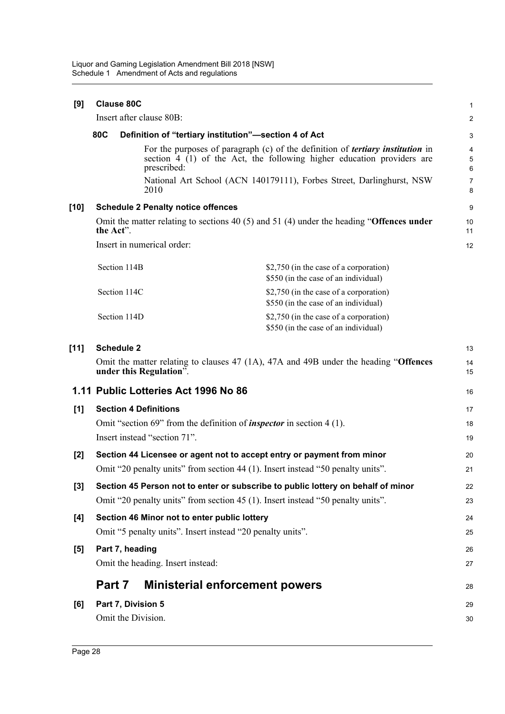| [9]    | <b>Clause 80C</b>                        |                                                            |                                                                                                                                                                                                                                            | $\mathbf{1}$                  |
|--------|------------------------------------------|------------------------------------------------------------|--------------------------------------------------------------------------------------------------------------------------------------------------------------------------------------------------------------------------------------------|-------------------------------|
|        | Insert after clause 80B:                 |                                                            |                                                                                                                                                                                                                                            | $\overline{c}$                |
|        | 80C                                      |                                                            | Definition of "tertiary institution"-section 4 of Act                                                                                                                                                                                      | 3                             |
|        |                                          | prescribed:                                                | For the purposes of paragraph $(c)$ of the definition of <i>tertiary institution</i> in<br>section 4 (1) of the Act, the following higher education providers are<br>National Art School (ACN 140179111), Forbes Street, Darlinghurst, NSW | 4<br>5<br>6<br>$\overline{7}$ |
|        | 2010                                     |                                                            |                                                                                                                                                                                                                                            | 8                             |
| $[10]$ |                                          | <b>Schedule 2 Penalty notice offences</b>                  |                                                                                                                                                                                                                                            | 9                             |
|        | the Act".                                |                                                            | Omit the matter relating to sections 40 (5) and 51 (4) under the heading "Offences under                                                                                                                                                   | 10<br>11                      |
|        | Insert in numerical order:               |                                                            |                                                                                                                                                                                                                                            | 12                            |
|        | Section 114B                             |                                                            | \$2,750 (in the case of a corporation)<br>\$550 (in the case of an individual)                                                                                                                                                             |                               |
|        | Section 114C                             |                                                            | \$2,750 (in the case of a corporation)<br>\$550 (in the case of an individual)                                                                                                                                                             |                               |
|        | Section 114D                             |                                                            | \$2,750 (in the case of a corporation)<br>\$550 (in the case of an individual)                                                                                                                                                             |                               |
| $[11]$ | <b>Schedule 2</b>                        |                                                            |                                                                                                                                                                                                                                            | 13                            |
|        | under this Regulation".                  |                                                            | Omit the matter relating to clauses 47 (1A), 47A and 49B under the heading "Offences                                                                                                                                                       | 14<br>15                      |
|        |                                          | 1.11 Public Lotteries Act 1996 No 86                       |                                                                                                                                                                                                                                            | 16                            |
| [1]    | <b>Section 4 Definitions</b>             |                                                            |                                                                                                                                                                                                                                            | 17                            |
|        |                                          |                                                            | Omit "section 69" from the definition of <i>inspector</i> in section $4(1)$ .                                                                                                                                                              | 18                            |
|        | Insert instead "section 71".             |                                                            |                                                                                                                                                                                                                                            | 19                            |
| $[2]$  |                                          |                                                            | Section 44 Licensee or agent not to accept entry or payment from minor                                                                                                                                                                     | 20                            |
|        |                                          |                                                            | Omit "20 penalty units" from section 44 (1). Insert instead "50 penalty units".                                                                                                                                                            | 21                            |
| $[3]$  |                                          |                                                            | Section 45 Person not to enter or subscribe to public lottery on behalf of minor                                                                                                                                                           | 22                            |
|        |                                          |                                                            | Omit "20 penalty units" from section 45 (1). Insert instead "50 penalty units".                                                                                                                                                            | 23                            |
| [4]    |                                          | Section 46 Minor not to enter public lottery               |                                                                                                                                                                                                                                            | 24                            |
|        |                                          | Omit "5 penalty units". Insert instead "20 penalty units". |                                                                                                                                                                                                                                            | 25                            |
| [5]    | Part 7, heading                          | Omit the heading. Insert instead:                          |                                                                                                                                                                                                                                            | 26<br>27                      |
|        | Part 7                                   |                                                            | <b>Ministerial enforcement powers</b>                                                                                                                                                                                                      | 28                            |
| [6]    | Part 7, Division 5<br>Omit the Division. |                                                            |                                                                                                                                                                                                                                            | 29<br>30                      |
|        |                                          |                                                            |                                                                                                                                                                                                                                            |                               |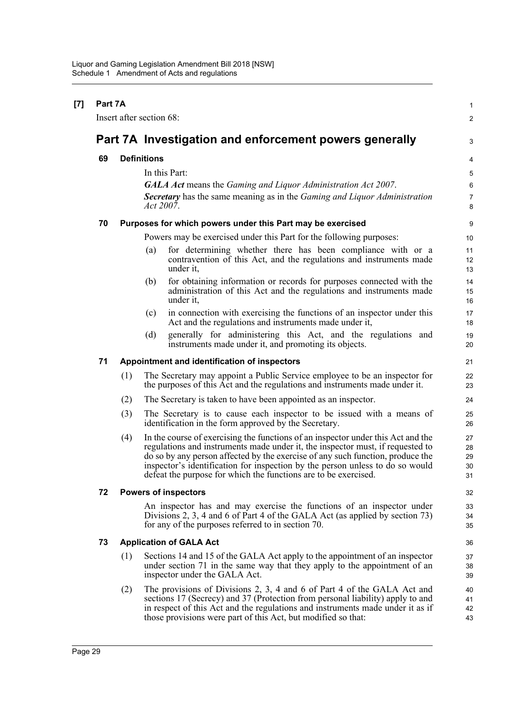| $[7]$ | Part 7A |     |                                                                                                                                                                                                                                                                                                                                                                                                          | $\mathbf{1}$               |
|-------|---------|-----|----------------------------------------------------------------------------------------------------------------------------------------------------------------------------------------------------------------------------------------------------------------------------------------------------------------------------------------------------------------------------------------------------------|----------------------------|
|       |         |     | Insert after section 68:                                                                                                                                                                                                                                                                                                                                                                                 | 2                          |
|       |         |     | Part 7A Investigation and enforcement powers generally                                                                                                                                                                                                                                                                                                                                                   | 3                          |
|       | 69      |     | <b>Definitions</b>                                                                                                                                                                                                                                                                                                                                                                                       | 4                          |
|       |         |     | In this Part:                                                                                                                                                                                                                                                                                                                                                                                            | 5                          |
|       |         |     | <b>GALA Act</b> means the Gaming and Liquor Administration Act 2007.                                                                                                                                                                                                                                                                                                                                     | 6                          |
|       |         |     | <b>Secretary</b> has the same meaning as in the Gaming and Liquor Administration<br><i>Act 2007.</i>                                                                                                                                                                                                                                                                                                     | $\overline{7}$<br>8        |
|       | 70      |     | Purposes for which powers under this Part may be exercised                                                                                                                                                                                                                                                                                                                                               | 9                          |
|       |         |     | Powers may be exercised under this Part for the following purposes:                                                                                                                                                                                                                                                                                                                                      | 10                         |
|       |         |     | for determining whether there has been compliance with or a<br>$\left( a\right)$<br>contravention of this Act, and the regulations and instruments made<br>under it,                                                                                                                                                                                                                                     | 11<br>12<br>13             |
|       |         |     | for obtaining information or records for purposes connected with the<br>(b)<br>administration of this Act and the regulations and instruments made<br>under it,                                                                                                                                                                                                                                          | 14<br>15<br>16             |
|       |         |     | in connection with exercising the functions of an inspector under this<br>(c)<br>Act and the regulations and instruments made under it,                                                                                                                                                                                                                                                                  | 17<br>18                   |
|       |         |     | (d)<br>generally for administering this Act, and the regulations and<br>instruments made under it, and promoting its objects.                                                                                                                                                                                                                                                                            | 19<br>20                   |
|       | 71      |     | Appointment and identification of inspectors                                                                                                                                                                                                                                                                                                                                                             | 21                         |
|       |         | (1) | The Secretary may appoint a Public Service employee to be an inspector for<br>the purposes of this Act and the regulations and instruments made under it.                                                                                                                                                                                                                                                | 22<br>23                   |
|       |         | (2) | The Secretary is taken to have been appointed as an inspector.                                                                                                                                                                                                                                                                                                                                           | 24                         |
|       |         | (3) | The Secretary is to cause each inspector to be issued with a means of<br>identification in the form approved by the Secretary.                                                                                                                                                                                                                                                                           | 25<br>26                   |
|       |         | (4) | In the course of exercising the functions of an inspector under this Act and the<br>regulations and instruments made under it, the inspector must, if requested to<br>do so by any person affected by the exercise of any such function, produce the<br>inspector's identification for inspection by the person unless to do so would<br>defeat the purpose for which the functions are to be exercised. | 27<br>28<br>29<br>30<br>31 |
|       | 72      |     | <b>Powers of inspectors</b>                                                                                                                                                                                                                                                                                                                                                                              | 32                         |
|       |         |     | An inspector has and may exercise the functions of an inspector under<br>Divisions 2, 3, 4 and 6 of Part 4 of the GALA Act (as applied by section 73)<br>for any of the purposes referred to in section 70.                                                                                                                                                                                              | 33<br>34<br>35             |
|       | 73      |     | <b>Application of GALA Act</b>                                                                                                                                                                                                                                                                                                                                                                           | 36                         |
|       |         | (1) | Sections 14 and 15 of the GALA Act apply to the appointment of an inspector<br>under section 71 in the same way that they apply to the appointment of an<br>inspector under the GALA Act.                                                                                                                                                                                                                | 37<br>38<br>39             |
|       |         | (2) | The provisions of Divisions 2, 3, 4 and 6 of Part 4 of the GALA Act and<br>sections 17 (Secrecy) and 37 (Protection from personal liability) apply to and<br>in respect of this Act and the regulations and instruments made under it as if<br>those provisions were part of this Act, but modified so that:                                                                                             | 40<br>41<br>42<br>43       |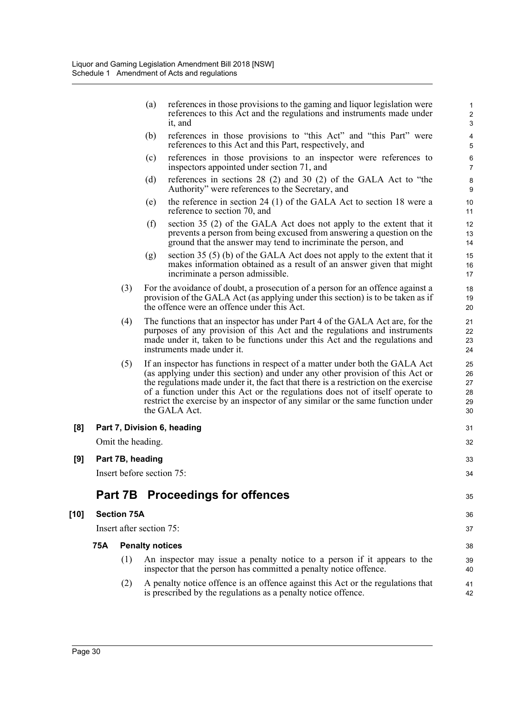| (a) | references in those provisions to the gaming and liquor legislation were<br>references to this Act and the regulations and instruments made under |
|-----|---------------------------------------------------------------------------------------------------------------------------------------------------|
|     | it. and                                                                                                                                           |

35

- (b) references in those provisions to "this Act" and "this Part" were references to this Act and this Part, respectively, and
- (c) references in those provisions to an inspector were references to inspectors appointed under section 71, and
- (d) references in sections 28 (2) and 30 (2) of the GALA Act to "the Authority" were references to the Secretary, and
- (e) the reference in section 24 (1) of the GALA Act to section 18 were a reference to section 70, and
- (f) section 35 (2) of the GALA Act does not apply to the extent that it prevents a person from being excused from answering a question on the ground that the answer may tend to incriminate the person, and
- (g) section 35 (5) (b) of the GALA Act does not apply to the extent that it makes information obtained as a result of an answer given that might incriminate a person admissible.
- (3) For the avoidance of doubt, a prosecution of a person for an offence against a provision of the GALA Act (as applying under this section) is to be taken as if the offence were an offence under this Act.
- (4) The functions that an inspector has under Part 4 of the GALA Act are, for the purposes of any provision of this Act and the regulations and instruments made under it, taken to be functions under this Act and the regulations and instruments made under it.
- (5) If an inspector has functions in respect of a matter under both the GALA Act (as applying under this section) and under any other provision of this Act or the regulations made under it, the fact that there is a restriction on the exercise of a function under this Act or the regulations does not of itself operate to restrict the exercise by an inspector of any similar or the same function under the GALA Act.

| [8] Part 7, Division 6, heading | 31 |
|---------------------------------|----|
| Omit the heading.               | 32 |
| [9] Part 7B, heading            | 33 |
| Insert before section 75:       | 34 |

## **Part 7B Proceedings for offences**

### **[10] Section 75A**

| Insert after section 75: |  |  |
|--------------------------|--|--|
|--------------------------|--|--|

#### **75A Penalty notices**

- (1) An inspector may issue a penalty notice to a person if it appears to the inspector that the person has committed a penalty notice offence.
- (2) A penalty notice offence is an offence against this Act or the regulations that is prescribed by the regulations as a penalty notice offence.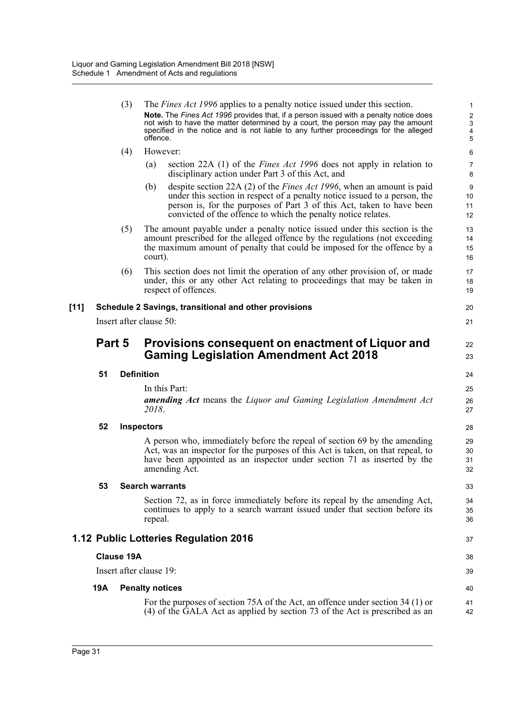|        |        | (3)                     |                        | The <i>Fines Act 1996</i> applies to a penalty notice issued under this section.                                                                                                                                                                                                                     | 1                                                   |
|--------|--------|-------------------------|------------------------|------------------------------------------------------------------------------------------------------------------------------------------------------------------------------------------------------------------------------------------------------------------------------------------------------|-----------------------------------------------------|
|        |        |                         | offence.               | Note. The Fines Act 1996 provides that, if a person issued with a penalty notice does<br>not wish to have the matter determined by a court, the person may pay the amount<br>specified in the notice and is not liable to any further proceedings for the alleged                                    | $\begin{array}{c}\n 2 \\ 3 \\ 4 \\ 5\n \end{array}$ |
|        |        | (4)                     | However:               |                                                                                                                                                                                                                                                                                                      | 6                                                   |
|        |        |                         | (a)                    | section 22A (1) of the <i>Fines Act 1996</i> does not apply in relation to<br>disciplinary action under Part 3 of this Act, and                                                                                                                                                                      | 7<br>8                                              |
|        |        |                         | (b)                    | despite section 22A (2) of the <i>Fines Act 1996</i> , when an amount is paid<br>under this section in respect of a penalty notice issued to a person, the<br>person is, for the purposes of Part 3 of this Act, taken to have been<br>convicted of the offence to which the penalty notice relates. | 9<br>10<br>11<br>12                                 |
|        |        | (5)                     | court).                | The amount payable under a penalty notice issued under this section is the<br>amount prescribed for the alleged offence by the regulations (not exceeding<br>the maximum amount of penalty that could be imposed for the offence by a                                                                | 13<br>14<br>15<br>16                                |
|        |        | (6)                     |                        | This section does not limit the operation of any other provision of, or made<br>under, this or any other Act relating to proceedings that may be taken in<br>respect of offences.                                                                                                                    | 17<br>18<br>19                                      |
| $[11]$ |        |                         |                        | Schedule 2 Savings, transitional and other provisions                                                                                                                                                                                                                                                | 20                                                  |
|        |        | Insert after clause 50: |                        |                                                                                                                                                                                                                                                                                                      | 21                                                  |
|        | Part 5 |                         |                        | Provisions consequent on enactment of Liquor and<br><b>Gaming Legislation Amendment Act 2018</b>                                                                                                                                                                                                     | 22<br>23                                            |
|        | 51     | <b>Definition</b>       |                        |                                                                                                                                                                                                                                                                                                      | 24                                                  |
|        |        |                         | 2018.                  | In this Part:<br><b>amending Act</b> means the Liquor and Gaming Legislation Amendment Act                                                                                                                                                                                                           | 25<br>26<br>27                                      |
|        | 52     |                         | <b>Inspectors</b>      |                                                                                                                                                                                                                                                                                                      | 28                                                  |
|        |        |                         |                        | A person who, immediately before the repeal of section 69 by the amending<br>Act, was an inspector for the purposes of this Act is taken, on that repeal, to<br>have been appointed as an inspector under section 71 as inserted by the<br>amending Act.                                             | 29<br>30<br>31<br>32                                |
|        | 53     |                         |                        | <b>Search warrants</b>                                                                                                                                                                                                                                                                               | 33                                                  |
|        |        |                         |                        | Section 72, as in force immediately before its repeal by the amending Act,                                                                                                                                                                                                                           | 34<br>35                                            |
|        |        |                         | repeal.                | continues to apply to a search warrant issued under that section before its                                                                                                                                                                                                                          | 36                                                  |
|        |        |                         |                        | 1.12 Public Lotteries Regulation 2016                                                                                                                                                                                                                                                                | 37                                                  |
|        |        | <b>Clause 19A</b>       |                        |                                                                                                                                                                                                                                                                                                      | 38                                                  |
|        |        | Insert after clause 19: |                        |                                                                                                                                                                                                                                                                                                      | 39                                                  |
|        | 19A    |                         | <b>Penalty notices</b> |                                                                                                                                                                                                                                                                                                      | 40                                                  |
|        |        |                         |                        | For the purposes of section 75A of the Act, an offence under section 34 (1) or<br>(4) of the GALA Act as applied by section 73 of the Act is prescribed as an                                                                                                                                        | 41<br>42                                            |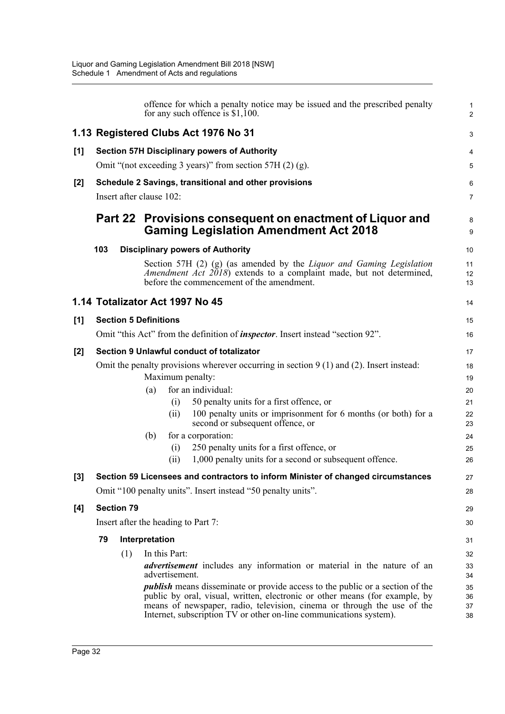|       |     |                   | offence for which a penalty notice may be issued and the prescribed penalty<br>for any such offence is $$1,100$ .                                                                                                                                                                                                    | 1<br>$\overline{2}$  |
|-------|-----|-------------------|----------------------------------------------------------------------------------------------------------------------------------------------------------------------------------------------------------------------------------------------------------------------------------------------------------------------|----------------------|
|       |     |                   | 1.13 Registered Clubs Act 1976 No 31                                                                                                                                                                                                                                                                                 | 3                    |
| [1]   |     |                   | <b>Section 57H Disciplinary powers of Authority</b>                                                                                                                                                                                                                                                                  | 4                    |
|       |     |                   | Omit "(not exceeding 3 years)" from section 57H $(2)$ (g).                                                                                                                                                                                                                                                           | 5                    |
| $[2]$ |     |                   | Schedule 2 Savings, transitional and other provisions                                                                                                                                                                                                                                                                | 6                    |
|       |     |                   | Insert after clause 102:                                                                                                                                                                                                                                                                                             | $\overline{7}$       |
|       |     |                   | Part 22 Provisions consequent on enactment of Liquor and<br><b>Gaming Legislation Amendment Act 2018</b>                                                                                                                                                                                                             | 8<br>9               |
|       | 103 |                   | <b>Disciplinary powers of Authority</b>                                                                                                                                                                                                                                                                              | 10                   |
|       |     |                   | Section 57H $(2)$ $(g)$ (as amended by the <i>Liquor and Gaming Legislation</i><br>Amendment Act 2018) extends to a complaint made, but not determined,<br>before the commencement of the amendment.                                                                                                                 | 11<br>12<br>13       |
|       |     |                   | 1.14 Totalizator Act 1997 No 45                                                                                                                                                                                                                                                                                      | 14                   |
| [1]   |     |                   | <b>Section 5 Definitions</b>                                                                                                                                                                                                                                                                                         | 15                   |
|       |     |                   | Omit "this Act" from the definition of <i>inspector</i> . Insert instead "section 92".                                                                                                                                                                                                                               | 16                   |
| $[2]$ |     |                   | Section 9 Unlawful conduct of totalizator                                                                                                                                                                                                                                                                            | 17                   |
|       |     |                   | Omit the penalty provisions wherever occurring in section $9(1)$ and (2). Insert instead:<br>Maximum penalty:                                                                                                                                                                                                        | 18<br>19             |
|       |     |                   | for an individual:<br>(a)                                                                                                                                                                                                                                                                                            | 20                   |
|       |     |                   | 50 penalty units for a first offence, or<br>(i)                                                                                                                                                                                                                                                                      | 21                   |
|       |     |                   | 100 penalty units or imprisonment for 6 months (or both) for a<br>(ii)<br>second or subsequent offence, or                                                                                                                                                                                                           | 22<br>23             |
|       |     |                   | for a corporation:<br>(b)                                                                                                                                                                                                                                                                                            | 24                   |
|       |     |                   | 250 penalty units for a first offence, or<br>(i)                                                                                                                                                                                                                                                                     | 25                   |
|       |     |                   | 1,000 penalty units for a second or subsequent offence.<br>(ii)                                                                                                                                                                                                                                                      | 26                   |
| $[3]$ |     |                   | Section 59 Licensees and contractors to inform Minister of changed circumstances                                                                                                                                                                                                                                     | 27                   |
|       |     |                   | Omit "100 penalty units". Insert instead "50 penalty units".                                                                                                                                                                                                                                                         | 28                   |
| [4]   |     | <b>Section 79</b> |                                                                                                                                                                                                                                                                                                                      | 29                   |
|       |     |                   | Insert after the heading to Part 7:                                                                                                                                                                                                                                                                                  | 30                   |
|       | 79  |                   | Interpretation                                                                                                                                                                                                                                                                                                       | 31                   |
|       |     | (1)               | In this Part:                                                                                                                                                                                                                                                                                                        | 32                   |
|       |     |                   | <i>advertisement</i> includes any information or material in the nature of an<br>advertisement.                                                                                                                                                                                                                      | 33<br>34             |
|       |     |                   | <i>publish</i> means disseminate or provide access to the public or a section of the<br>public by oral, visual, written, electronic or other means (for example, by<br>means of newspaper, radio, television, cinema or through the use of the<br>Internet, subscription TV or other on-line communications system). | 35<br>36<br>37<br>38 |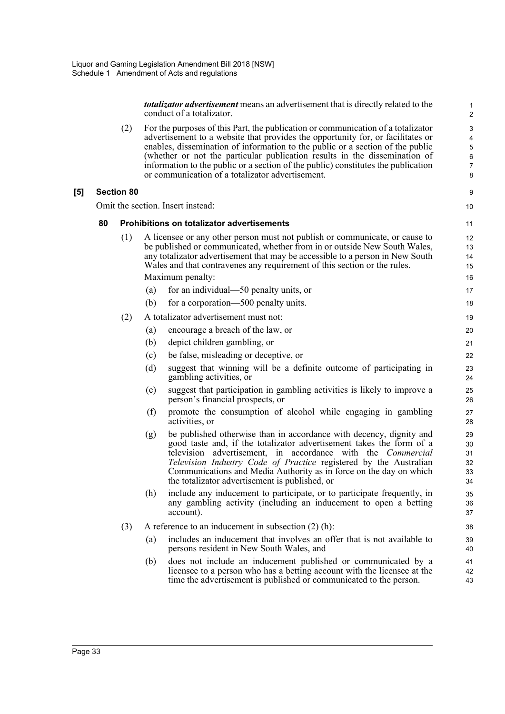*totalizator advertisement* means an advertisement that is directly related to the conduct of a totalizator.

(2) For the purposes of this Part, the publication or communication of a totalizator advertisement to a website that provides the opportunity for, or facilitates or enables, dissemination of information to the public or a section of the public (whether or not the particular publication results in the dissemination of information to the public or a section of the public) constitutes the publication or communication of a totalizator advertisement.

#### **[5] Section 80**

Omit the section. Insert instead:

#### **80 Prohibitions on totalizator advertisements**

- (1) A licensee or any other person must not publish or communicate, or cause to be published or communicated, whether from in or outside New South Wales, any totalizator advertisement that may be accessible to a person in New South Wales and that contravenes any requirement of this section or the rules. Maximum penalty:
	- (a) for an individual—50 penalty units, or
	- (b) for a corporation—500 penalty units.
- (2) A totalizator advertisement must not:
	- (a) encourage a breach of the law, or
	- (b) depict children gambling, or
	- (c) be false, misleading or deceptive, or
	- (d) suggest that winning will be a definite outcome of participating in gambling activities, or
	- (e) suggest that participation in gambling activities is likely to improve a person's financial prospects, or
	- (f) promote the consumption of alcohol while engaging in gambling activities, or
	- (g) be published otherwise than in accordance with decency, dignity and good taste and, if the totalizator advertisement takes the form of a television advertisement, in accordance with the *Commercial Television Industry Code of Practice* registered by the Australian Communications and Media Authority as in force on the day on which the totalizator advertisement is published, or
	- (h) include any inducement to participate, or to participate frequently, in any gambling activity (including an inducement to open a betting account).
- (3) A reference to an inducement in subsection  $(2)$  (h):
	- (a) includes an inducement that involves an offer that is not available to persons resident in New South Wales, and
	- (b) does not include an inducement published or communicated by a licensee to a person who has a betting account with the licensee at the time the advertisement is published or communicated to the person.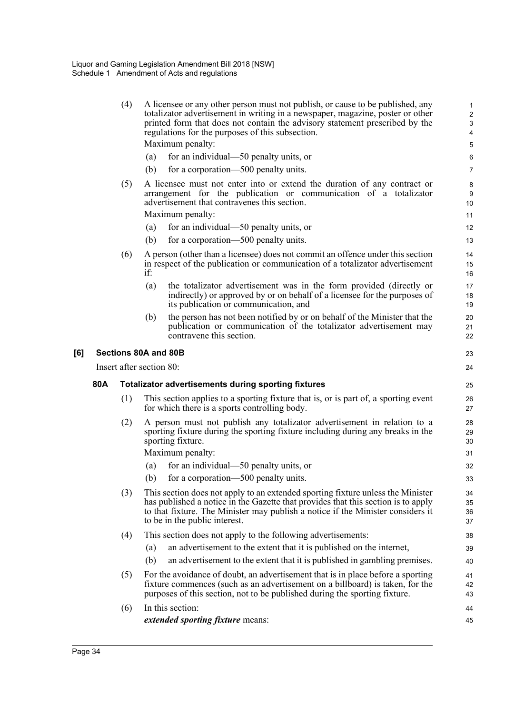(4) A licensee or any other person must not publish, or cause to be published, any totalizator advertisement in writing in a newspaper, magazine, poster or other printed form that does not contain the advisory statement prescribed by the regulations for the purposes of this subsection. Maximum penalty: (a) for an individual—50 penalty units, or

23  $24$ 

- (b) for a corporation—500 penalty units.
- (5) A licensee must not enter into or extend the duration of any contract or arrangement for the publication or communication of a totalizator advertisement that contravenes this section.

Maximum penalty:

- (a) for an individual—50 penalty units, or
- (b) for a corporation—500 penalty units.
- (6) A person (other than a licensee) does not commit an offence under this section in respect of the publication or communication of a totalizator advertisement if:
	- (a) the totalizator advertisement was in the form provided (directly or indirectly) or approved by or on behalf of a licensee for the purposes of its publication or communication, and
	- (b) the person has not been notified by or on behalf of the Minister that the publication or communication of the totalizator advertisement may contravene this section.

#### **[6] Sections 80A and 80B**

Insert after section 80:

#### **80A Totalizator advertisements during sporting fixtures**

- (1) This section applies to a sporting fixture that is, or is part of, a sporting event for which there is a sports controlling body.
- (2) A person must not publish any totalizator advertisement in relation to a sporting fixture during the sporting fixture including during any breaks in the sporting fixture.

Maximum penalty:

- (a) for an individual—50 penalty units, or
- (b) for a corporation—500 penalty units.
- (3) This section does not apply to an extended sporting fixture unless the Minister has published a notice in the Gazette that provides that this section is to apply to that fixture. The Minister may publish a notice if the Minister considers it to be in the public interest.
- (4) This section does not apply to the following advertisements:
	- (a) an advertisement to the extent that it is published on the internet,
	- (b) an advertisement to the extent that it is published in gambling premises.
- (5) For the avoidance of doubt, an advertisement that is in place before a sporting fixture commences (such as an advertisement on a billboard) is taken, for the purposes of this section, not to be published during the sporting fixture.
- (6) In this section: *extended sporting fixture* means: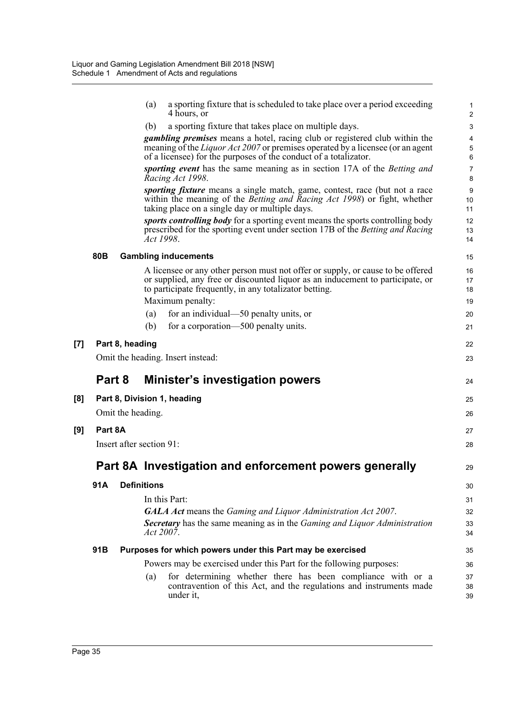|     |                 |                   | a sporting fixture that is scheduled to take place over a period exceeding<br>(a)<br>4 hours, or                                                                                                                                               | 1<br>$\overline{2}$       |
|-----|-----------------|-------------------|------------------------------------------------------------------------------------------------------------------------------------------------------------------------------------------------------------------------------------------------|---------------------------|
|     |                 |                   | a sporting fixture that takes place on multiple days.<br>(b)                                                                                                                                                                                   | $\ensuremath{\mathsf{3}}$ |
|     |                 |                   | <i>gambling premises</i> means a hotel, racing club or registered club within the<br>meaning of the <i>Liquor Act 2007</i> or premises operated by a licensee (or an agent<br>of a licensee) for the purposes of the conduct of a totalizator. | 4<br>5<br>6               |
|     |                 |                   | sporting event has the same meaning as in section 17A of the Betting and<br>Racing Act 1998.                                                                                                                                                   | $\overline{7}$<br>8       |
|     |                 |                   | <i>sporting fixture</i> means a single match, game, contest, race (but not a race<br>within the meaning of the Betting and Racing Act 1998) or fight, whether<br>taking place on a single day or multiple days.                                | 9<br>10<br>11             |
|     |                 |                   | sports controlling body for a sporting event means the sports controlling body<br>prescribed for the sporting event under section 17B of the Betting and Racing<br>Act 1998.                                                                   | 12<br>13<br>14            |
|     | 80 <sub>B</sub> |                   | <b>Gambling inducements</b>                                                                                                                                                                                                                    | 15                        |
|     |                 |                   | A licensee or any other person must not offer or supply, or cause to be offered<br>or supplied, any free or discounted liquor as an inducement to participate, or<br>to participate frequently, in any totalizator betting.                    | 16<br>17<br>18            |
|     |                 |                   | Maximum penalty:                                                                                                                                                                                                                               | 19                        |
|     |                 |                   | for an individual—50 penalty units, or<br>(a)                                                                                                                                                                                                  | 20                        |
|     |                 |                   | for a corporation—500 penalty units.<br>(b)                                                                                                                                                                                                    | 21                        |
| [7] |                 | Part 8, heading   |                                                                                                                                                                                                                                                | 22                        |
|     |                 |                   | Omit the heading. Insert instead:                                                                                                                                                                                                              | 23                        |
|     | Part 8          |                   | <b>Minister's investigation powers</b>                                                                                                                                                                                                         | 24                        |
| [8] |                 |                   | Part 8, Division 1, heading                                                                                                                                                                                                                    | 25                        |
|     |                 | Omit the heading. |                                                                                                                                                                                                                                                | 26                        |
| [9] | Part 8A         |                   |                                                                                                                                                                                                                                                | 27                        |
|     |                 |                   | Insert after section 91:                                                                                                                                                                                                                       | 28                        |
|     |                 |                   | Part 8A Investigation and enforcement powers generally                                                                                                                                                                                         | 29                        |
|     | 91A             |                   | <b>Definitions</b>                                                                                                                                                                                                                             | 30                        |
|     |                 |                   | In this Part:                                                                                                                                                                                                                                  | 31                        |
|     |                 |                   | <b>GALA Act</b> means the Gaming and Liquor Administration Act 2007.                                                                                                                                                                           | 32                        |
|     |                 |                   | Secretary has the same meaning as in the Gaming and Liquor Administration<br>Act 2007.                                                                                                                                                         | 33<br>34                  |
|     | 91B             |                   | Purposes for which powers under this Part may be exercised                                                                                                                                                                                     | 35                        |
|     |                 |                   | Powers may be exercised under this Part for the following purposes:                                                                                                                                                                            | 36                        |
|     |                 |                   | for determining whether there has been compliance with or a<br>(a)<br>contravention of this Act, and the regulations and instruments made<br>under it,                                                                                         | 37<br>38<br>39            |
|     |                 |                   |                                                                                                                                                                                                                                                |                           |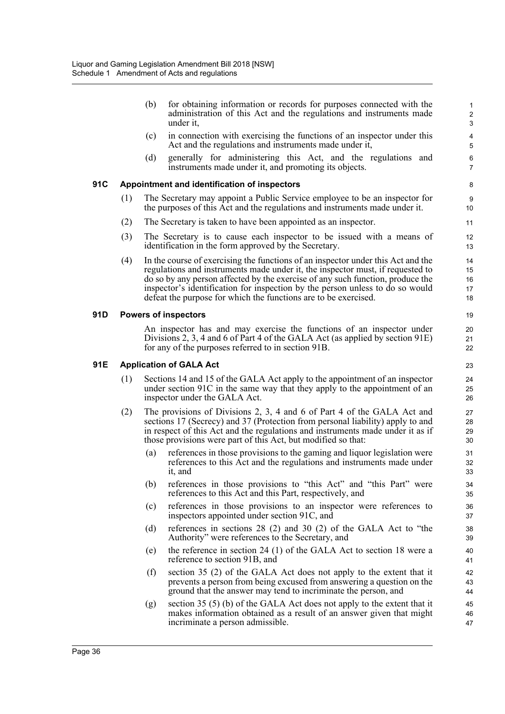|     |     | (b) | for obtaining information or records for purposes connected with the<br>administration of this Act and the regulations and instruments made<br>under it,                                                                                                                                                                                                                                                 | $\mathbf{1}$<br>$\overline{\mathbf{c}}$<br>3 |
|-----|-----|-----|----------------------------------------------------------------------------------------------------------------------------------------------------------------------------------------------------------------------------------------------------------------------------------------------------------------------------------------------------------------------------------------------------------|----------------------------------------------|
|     |     | (c) | in connection with exercising the functions of an inspector under this<br>Act and the regulations and instruments made under it,                                                                                                                                                                                                                                                                         | 4<br>$\sqrt{5}$                              |
|     |     | (d) | generally for administering this Act, and the regulations and<br>instruments made under it, and promoting its objects.                                                                                                                                                                                                                                                                                   | $\,6$<br>$\overline{7}$                      |
| 91C |     |     | Appointment and identification of inspectors                                                                                                                                                                                                                                                                                                                                                             | 8                                            |
|     | (1) |     | The Secretary may appoint a Public Service employee to be an inspector for<br>the purposes of this Act and the regulations and instruments made under it.                                                                                                                                                                                                                                                | 9<br>10                                      |
|     | (2) |     | The Secretary is taken to have been appointed as an inspector.                                                                                                                                                                                                                                                                                                                                           | 11                                           |
|     | (3) |     | The Secretary is to cause each inspector to be issued with a means of<br>identification in the form approved by the Secretary.                                                                                                                                                                                                                                                                           | 12<br>13                                     |
|     | (4) |     | In the course of exercising the functions of an inspector under this Act and the<br>regulations and instruments made under it, the inspector must, if requested to<br>do so by any person affected by the exercise of any such function, produce the<br>inspector's identification for inspection by the person unless to do so would<br>defeat the purpose for which the functions are to be exercised. | 14<br>15<br>16<br>17<br>18                   |
| 91D |     |     | <b>Powers of inspectors</b>                                                                                                                                                                                                                                                                                                                                                                              | 19                                           |
|     |     |     | An inspector has and may exercise the functions of an inspector under<br>Divisions 2, 3, 4 and 6 of Part 4 of the GALA Act (as applied by section 91E)<br>for any of the purposes referred to in section 91B.                                                                                                                                                                                            | 20<br>21<br>22                               |
| 91E |     |     | <b>Application of GALA Act</b>                                                                                                                                                                                                                                                                                                                                                                           | 23                                           |
|     | (1) |     | Sections 14 and 15 of the GALA Act apply to the appointment of an inspector<br>under section 91C in the same way that they apply to the appointment of an<br>inspector under the GALA Act.                                                                                                                                                                                                               | 24<br>25<br>26                               |
|     | (2) |     | The provisions of Divisions 2, 3, 4 and 6 of Part 4 of the GALA Act and<br>sections 17 (Secrecy) and 37 (Protection from personal liability) apply to and<br>in respect of this Act and the regulations and instruments made under it as if<br>those provisions were part of this Act, but modified so that:                                                                                             | 27<br>28<br>29<br>30                         |
|     |     | (a) | references in those provisions to the gaming and liquor legislation were<br>references to this Act and the regulations and instruments made under<br>it, and                                                                                                                                                                                                                                             | 31<br>32<br>33                               |
|     |     | (b) | references in those provisions to "this Act" and "this Part" were<br>references to this Act and this Part, respectively, and                                                                                                                                                                                                                                                                             | 34<br>35                                     |
|     |     | (c) | references in those provisions to an inspector were references to<br>inspectors appointed under section 91C, and                                                                                                                                                                                                                                                                                         | 36<br>37                                     |
|     |     | (d) | references in sections $28(2)$ and $30(2)$ of the GALA Act to "the<br>Authority" were references to the Secretary, and                                                                                                                                                                                                                                                                                   | 38<br>39                                     |
|     |     | (e) | the reference in section 24 (1) of the GALA Act to section 18 were a<br>reference to section 91B, and                                                                                                                                                                                                                                                                                                    | 40<br>41                                     |
|     |     | (f) | section 35 (2) of the GALA Act does not apply to the extent that it<br>prevents a person from being excused from answering a question on the<br>ground that the answer may tend to incriminate the person, and                                                                                                                                                                                           | 42<br>43<br>44                               |
|     |     | (g) | section 35 (5) (b) of the GALA Act does not apply to the extent that it<br>makes information obtained as a result of an answer given that might<br>incriminate a person admissible.                                                                                                                                                                                                                      | 45<br>46<br>47                               |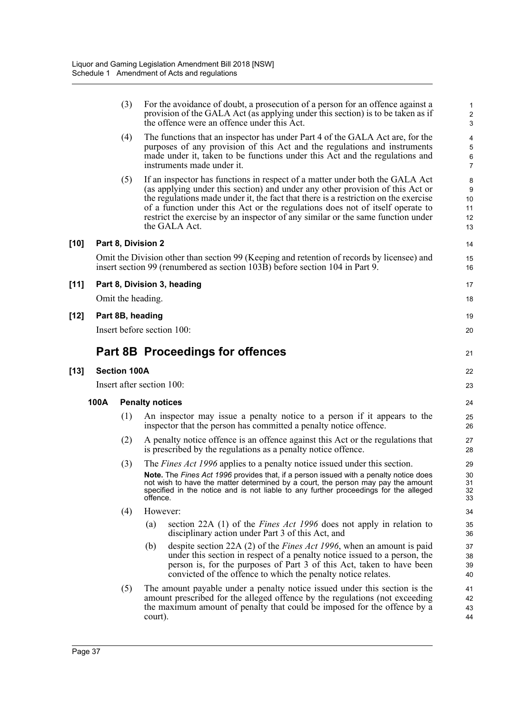|        |      |                     | provision of the GALA Act (as applying under this section) is to be taken as if<br>the offence were an offence under this Act.                                                                                                                                                                                                                                                                                                            | $\overline{2}$<br>3                           |
|--------|------|---------------------|-------------------------------------------------------------------------------------------------------------------------------------------------------------------------------------------------------------------------------------------------------------------------------------------------------------------------------------------------------------------------------------------------------------------------------------------|-----------------------------------------------|
|        |      | (4)                 | The functions that an inspector has under Part 4 of the GALA Act are, for the<br>purposes of any provision of this Act and the regulations and instruments<br>made under it, taken to be functions under this Act and the regulations and<br>instruments made under it.                                                                                                                                                                   | 4<br>5<br>6<br>$\overline{7}$                 |
|        |      | (5)                 | If an inspector has functions in respect of a matter under both the GALA Act<br>(as applying under this section) and under any other provision of this Act or<br>the regulations made under it, the fact that there is a restriction on the exercise<br>of a function under this Act or the regulations does not of itself operate to<br>restrict the exercise by an inspector of any similar or the same function under<br>the GALA Act. | 8<br>$\boldsymbol{9}$<br>10<br>11<br>12<br>13 |
| $[10]$ |      |                     | Part 8, Division 2                                                                                                                                                                                                                                                                                                                                                                                                                        | 14                                            |
|        |      |                     | Omit the Division other than section 99 (Keeping and retention of records by licensee) and<br>insert section 99 (renumbered as section 103B) before section 104 in Part 9.                                                                                                                                                                                                                                                                | 15<br>16                                      |
| $[11]$ |      |                     | Part 8, Division 3, heading                                                                                                                                                                                                                                                                                                                                                                                                               | 17                                            |
|        |      |                     | Omit the heading.                                                                                                                                                                                                                                                                                                                                                                                                                         | 18                                            |
| $[12]$ |      |                     | Part 8B, heading                                                                                                                                                                                                                                                                                                                                                                                                                          | 19                                            |
|        |      |                     | Insert before section 100:                                                                                                                                                                                                                                                                                                                                                                                                                | 20                                            |
|        |      |                     | <b>Part 8B Proceedings for offences</b>                                                                                                                                                                                                                                                                                                                                                                                                   | 21                                            |
| [13]   |      | <b>Section 100A</b> |                                                                                                                                                                                                                                                                                                                                                                                                                                           | 22                                            |
|        |      |                     | Insert after section 100:                                                                                                                                                                                                                                                                                                                                                                                                                 | 23                                            |
|        | 100A |                     | <b>Penalty notices</b>                                                                                                                                                                                                                                                                                                                                                                                                                    | 24                                            |
|        |      | (1)                 | An inspector may issue a penalty notice to a person if it appears to the<br>inspector that the person has committed a penalty notice offence.                                                                                                                                                                                                                                                                                             | 25<br>26                                      |
|        |      | (2)                 | A penalty notice offence is an offence against this Act or the regulations that<br>is prescribed by the regulations as a penalty notice offence.                                                                                                                                                                                                                                                                                          | 27<br>28                                      |
|        |      | (3)                 | The <i>Fines Act 1996</i> applies to a penalty notice issued under this section.<br>Note. The Fines Act 1996 provides that, if a person issued with a penalty notice does<br>not wish to have the matter determined by a court, the person may pay the amount<br>specified in the notice and is not liable to any further proceedings for the alleged<br>offence.                                                                         | 29<br>30<br>31<br>32<br>33                    |
|        |      | (4)                 | However:                                                                                                                                                                                                                                                                                                                                                                                                                                  | 34                                            |
|        |      |                     | section 22A (1) of the <i>Fines Act 1996</i> does not apply in relation to<br>(a)<br>disciplinary action under Part 3 of this Act, and                                                                                                                                                                                                                                                                                                    | 35<br>36                                      |
|        |      |                     | despite section 22A (2) of the <i>Fines Act 1996</i> , when an amount is paid<br>(b)<br>under this section in respect of a penalty notice issued to a person, the                                                                                                                                                                                                                                                                         | 37<br>38                                      |
|        |      |                     | person is, for the purposes of Part 3 of this Act, taken to have been<br>convicted of the offence to which the penalty notice relates.                                                                                                                                                                                                                                                                                                    | 39<br>40                                      |

(3) For the avoidance of doubt, a prosecution of a person for an offence against a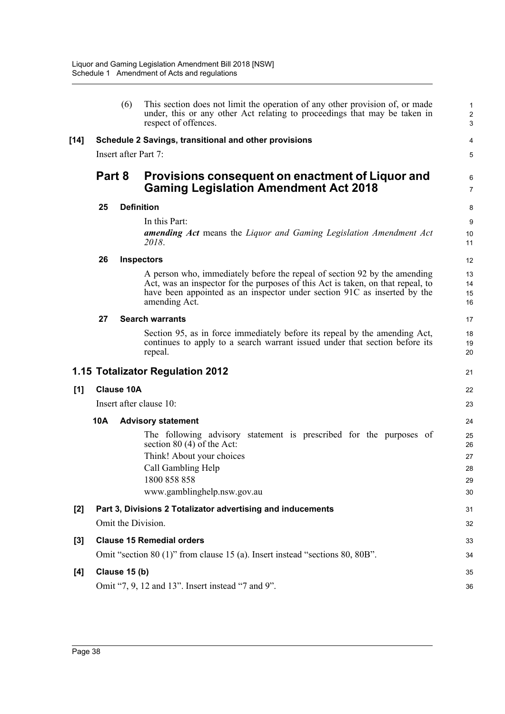|       |                                                                                                                  | (6) | This section does not limit the operation of any other provision of, or made<br>under, this or any other Act relating to proceedings that may be taken in<br>respect of offences.                                                                         | $\mathbf{1}$<br>$\overline{2}$<br>3 |
|-------|------------------------------------------------------------------------------------------------------------------|-----|-----------------------------------------------------------------------------------------------------------------------------------------------------------------------------------------------------------------------------------------------------------|-------------------------------------|
| [14]  | Schedule 2 Savings, transitional and other provisions                                                            |     |                                                                                                                                                                                                                                                           | 4                                   |
|       | Insert after Part 7:                                                                                             |     |                                                                                                                                                                                                                                                           | 5                                   |
|       | Part 8                                                                                                           |     | Provisions consequent on enactment of Liquor and<br><b>Gaming Legislation Amendment Act 2018</b>                                                                                                                                                          | 6<br>$\overline{7}$                 |
|       | 25                                                                                                               |     | <b>Definition</b>                                                                                                                                                                                                                                         | 8                                   |
|       |                                                                                                                  |     | In this Part:                                                                                                                                                                                                                                             | 9                                   |
|       |                                                                                                                  |     | <b>amending Act</b> means the Liquor and Gaming Legislation Amendment Act<br>2018.                                                                                                                                                                        | 10<br>11                            |
|       | 26                                                                                                               |     | <b>Inspectors</b>                                                                                                                                                                                                                                         | 12                                  |
|       |                                                                                                                  |     | A person who, immediately before the repeal of section 92 by the amending<br>Act, was an inspector for the purposes of this Act is taken, on that repeal, to<br>have been appointed as an inspector under section 91C as inserted by the<br>amending Act. | 13<br>14<br>15<br>16                |
|       | 27                                                                                                               |     | <b>Search warrants</b>                                                                                                                                                                                                                                    | 17                                  |
|       |                                                                                                                  |     | Section 95, as in force immediately before its repeal by the amending Act,<br>continues to apply to a search warrant issued under that section before its<br>repeal.                                                                                      | 18<br>19<br>20                      |
|       |                                                                                                                  |     | 1.15 Totalizator Regulation 2012                                                                                                                                                                                                                          | 21                                  |
| [1]   | <b>Clause 10A</b>                                                                                                |     |                                                                                                                                                                                                                                                           | 22                                  |
|       | Insert after clause 10:                                                                                          |     |                                                                                                                                                                                                                                                           | 23                                  |
|       | 10A                                                                                                              |     | <b>Advisory statement</b>                                                                                                                                                                                                                                 | 24                                  |
|       |                                                                                                                  |     | The following advisory statement is prescribed for the purposes of<br>section $80(4)$ of the Act:                                                                                                                                                         | 25<br>26                            |
|       |                                                                                                                  |     | Think! About your choices                                                                                                                                                                                                                                 | 27                                  |
|       |                                                                                                                  |     | Call Gambling Help<br>1800 858 858                                                                                                                                                                                                                        | 28                                  |
|       |                                                                                                                  |     | www.gamblinghelp.nsw.gov.au                                                                                                                                                                                                                               | 29<br>30                            |
| $[2]$ | Part 3, Divisions 2 Totalizator advertising and inducements                                                      |     |                                                                                                                                                                                                                                                           | 31                                  |
|       | Omit the Division.                                                                                               |     |                                                                                                                                                                                                                                                           | 32                                  |
|       |                                                                                                                  |     |                                                                                                                                                                                                                                                           |                                     |
| $[3]$ | <b>Clause 15 Remedial orders</b><br>Omit "section 80 (1)" from clause 15 (a). Insert instead "sections 80, 80B". |     |                                                                                                                                                                                                                                                           | 33<br>34                            |
|       |                                                                                                                  |     |                                                                                                                                                                                                                                                           |                                     |
| [4]   | Clause 15 (b)<br>Omit "7, 9, 12 and 13". Insert instead "7 and 9".                                               |     |                                                                                                                                                                                                                                                           | 35                                  |
|       |                                                                                                                  |     |                                                                                                                                                                                                                                                           | 36                                  |